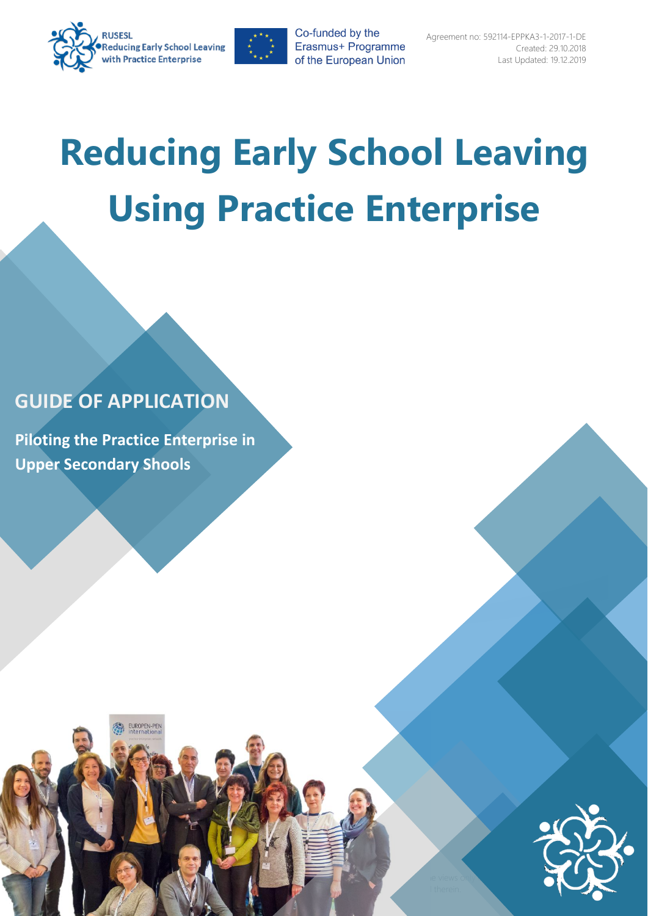



# **Reducing Early School Leaving Using Practice Enterprise**

 $\equiv$ 

Commission cannot be held responsible for any use which may be made of the information contained the information contained the interest of the interest of the interest of the interest of the interest of the interest of the

# **GUIDE OF APPLICATION**

**Piloting the Practice Enterprise in Upper Secondary Shools**

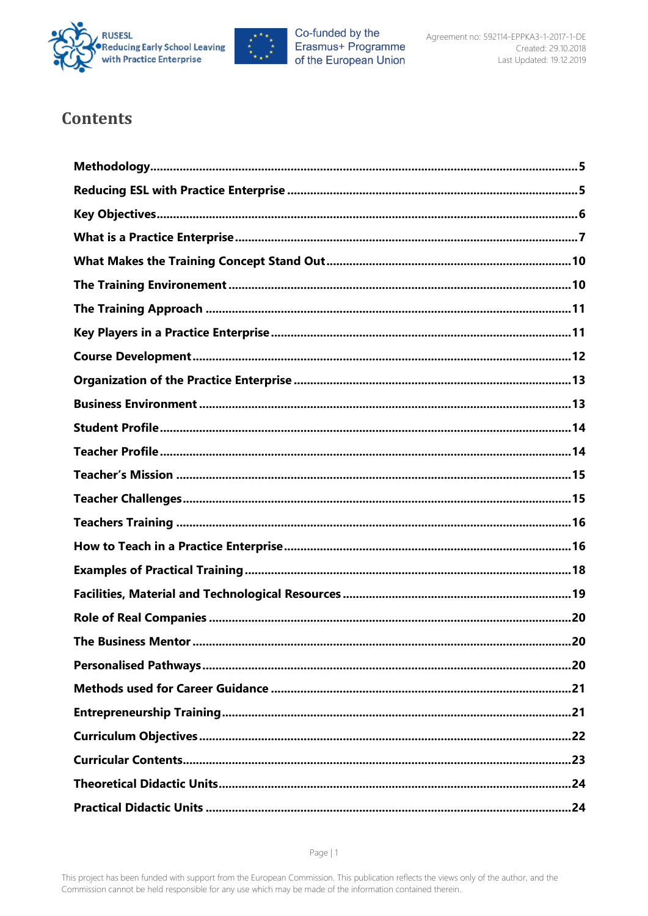



# **Contents**

| <b>The Business Mentor</b> | .20 |
|----------------------------|-----|
|                            |     |
|                            |     |
|                            |     |
|                            |     |
|                            |     |
|                            |     |
|                            |     |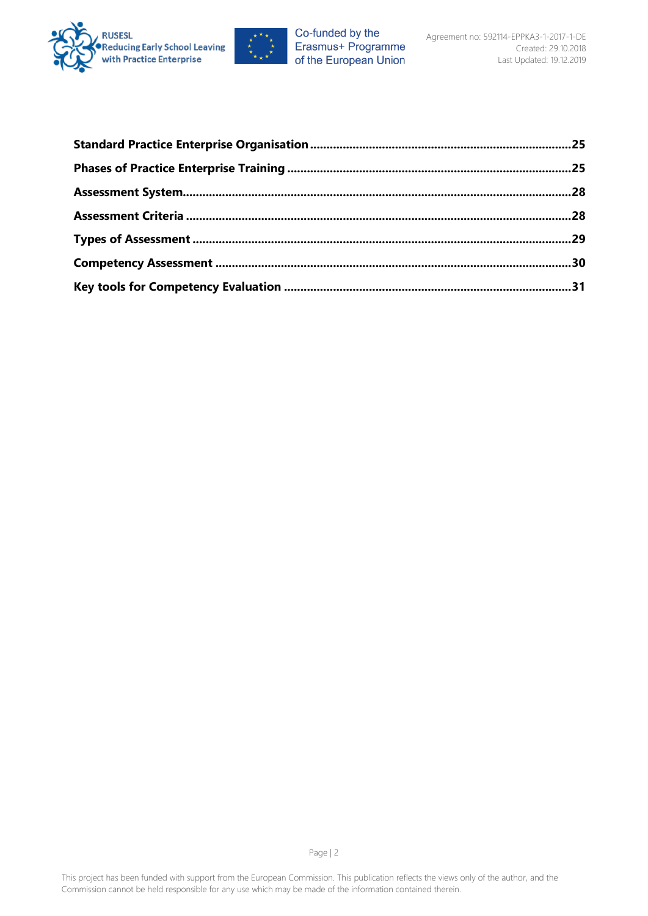

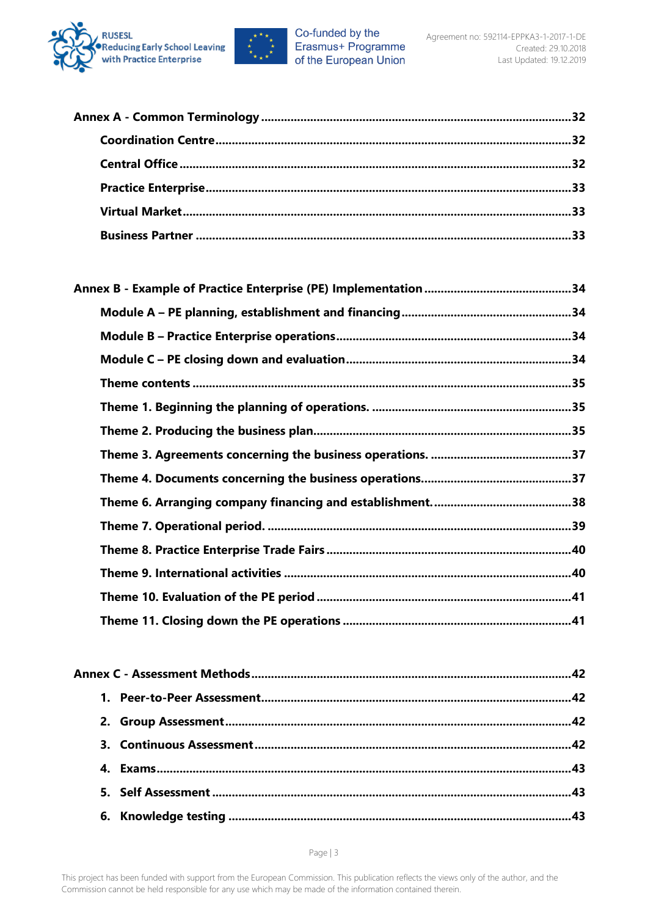

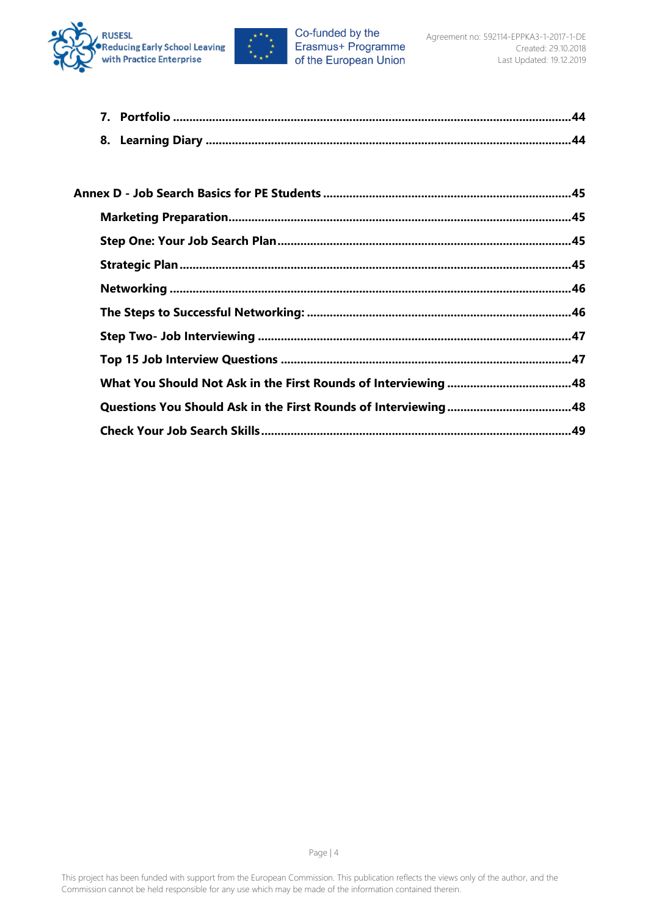



| Annex D - Job Search Basics for PE Students ……………………………………………………………………45 |  |
|--------------------------------------------------------------------------|--|
|                                                                          |  |
|                                                                          |  |
|                                                                          |  |
|                                                                          |  |
|                                                                          |  |
|                                                                          |  |
|                                                                          |  |
|                                                                          |  |
|                                                                          |  |
|                                                                          |  |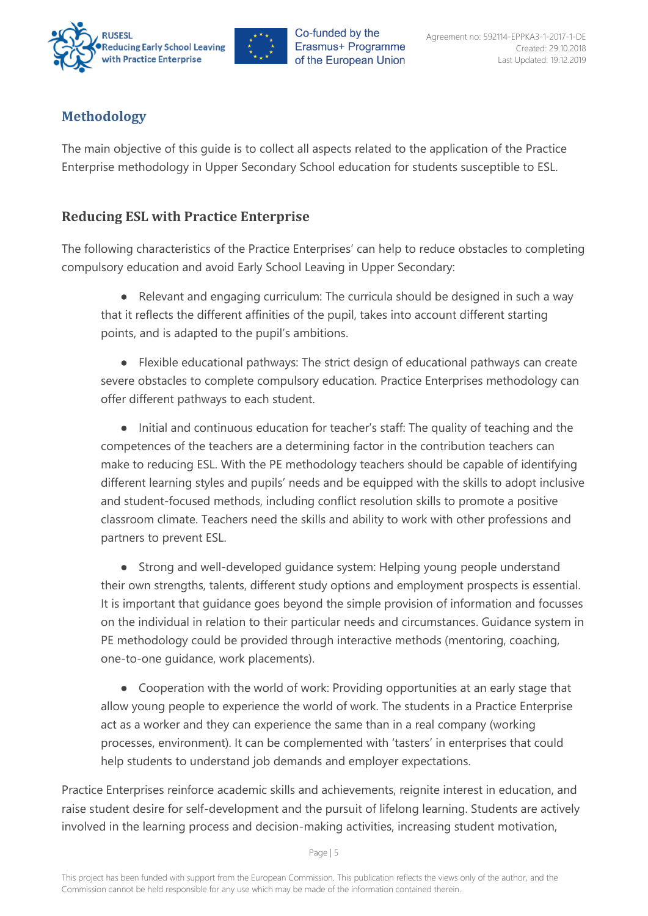



## <span id="page-5-0"></span>**Methodology**

The main objective of this guide is to collect all aspects related to the application of the Practice Enterprise methodology in Upper Secondary School education for students susceptible to ESL.

## <span id="page-5-1"></span>**Reducing ESL with Practice Enterprise**

The following characteristics of the Practice Enterprises' can help to reduce obstacles to completing compulsory education and avoid Early School Leaving in Upper Secondary:

● Relevant and engaging curriculum: The curricula should be designed in such a way that it reflects the different affinities of the pupil, takes into account different starting points, and is adapted to the pupil's ambitions.

● Flexible educational pathways: The strict design of educational pathways can create severe obstacles to complete compulsory education. Practice Enterprises methodology can offer different pathways to each student.

● Initial and continuous education for teacher's staff: The quality of teaching and the competences of the teachers are a determining factor in the contribution teachers can make to reducing ESL. With the PE methodology teachers should be capable of identifying different learning styles and pupils' needs and be equipped with the skills to adopt inclusive and student-focused methods, including conflict resolution skills to promote a positive classroom climate. Teachers need the skills and ability to work with other professions and partners to prevent ESL.

● Strong and well-developed guidance system: Helping young people understand their own strengths, talents, different study options and employment prospects is essential. It is important that guidance goes beyond the simple provision of information and focusses on the individual in relation to their particular needs and circumstances. Guidance system in PE methodology could be provided through interactive methods (mentoring, coaching, one-to-one guidance, work placements).

● Cooperation with the world of work: Providing opportunities at an early stage that allow young people to experience the world of work. The students in a Practice Enterprise act as a worker and they can experience the same than in a real company (working processes, environment). It can be complemented with 'tasters' in enterprises that could help students to understand job demands and employer expectations.

Practice Enterprises reinforce academic skills and achievements, reignite interest in education, and raise student desire for self-development and the pursuit of lifelong learning. Students are actively involved in the learning process and decision-making activities, increasing student motivation,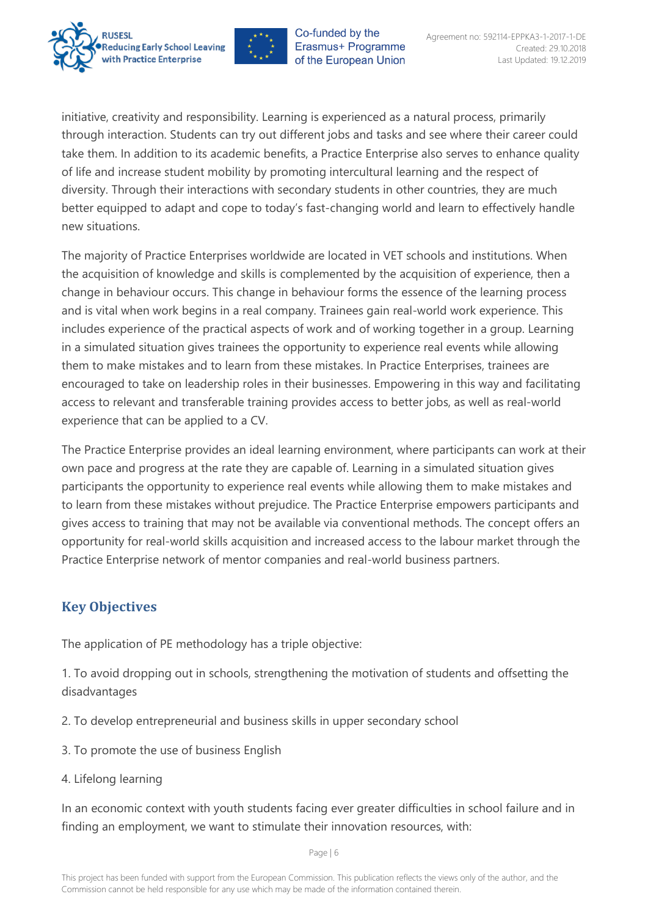



initiative, creativity and responsibility. Learning is experienced as a natural process, primarily through interaction. Students can try out different jobs and tasks and see where their career could take them. In addition to its academic benefits, a Practice Enterprise also serves to enhance quality of life and increase student mobility by promoting intercultural learning and the respect of diversity. Through their interactions with secondary students in other countries, they are much better equipped to adapt and cope to today's fast-changing world and learn to effectively handle new situations.

The majority of Practice Enterprises worldwide are located in VET schools and institutions. When the acquisition of knowledge and skills is complemented by the acquisition of experience, then a change in behaviour occurs. This change in behaviour forms the essence of the learning process and is vital when work begins in a real company. Trainees gain real-world work experience. This includes experience of the practical aspects of work and of working together in a group. Learning in a simulated situation gives trainees the opportunity to experience real events while allowing them to make mistakes and to learn from these mistakes. In Practice Enterprises, trainees are encouraged to take on leadership roles in their businesses. Empowering in this way and facilitating access to relevant and transferable training provides access to better jobs, as well as real-world experience that can be applied to a CV.

The Practice Enterprise provides an ideal learning environment, where participants can work at their own pace and progress at the rate they are capable of. Learning in a simulated situation gives participants the opportunity to experience real events while allowing them to make mistakes and to learn from these mistakes without prejudice. The Practice Enterprise empowers participants and gives access to training that may not be available via conventional methods. The concept offers an opportunity for real-world skills acquisition and increased access to the labour market through the Practice Enterprise network of mentor companies and real-world business partners.

## <span id="page-6-0"></span>**Key Objectives**

The application of PE methodology has a triple objective:

1. To avoid dropping out in schools, strengthening the motivation of students and offsetting the disadvantages

- 2. To develop entrepreneurial and business skills in upper secondary school
- 3. To promote the use of business English
- 4. Lifelong learning

In an economic context with youth students facing ever greater difficulties in school failure and in finding an employment, we want to stimulate their innovation resources, with: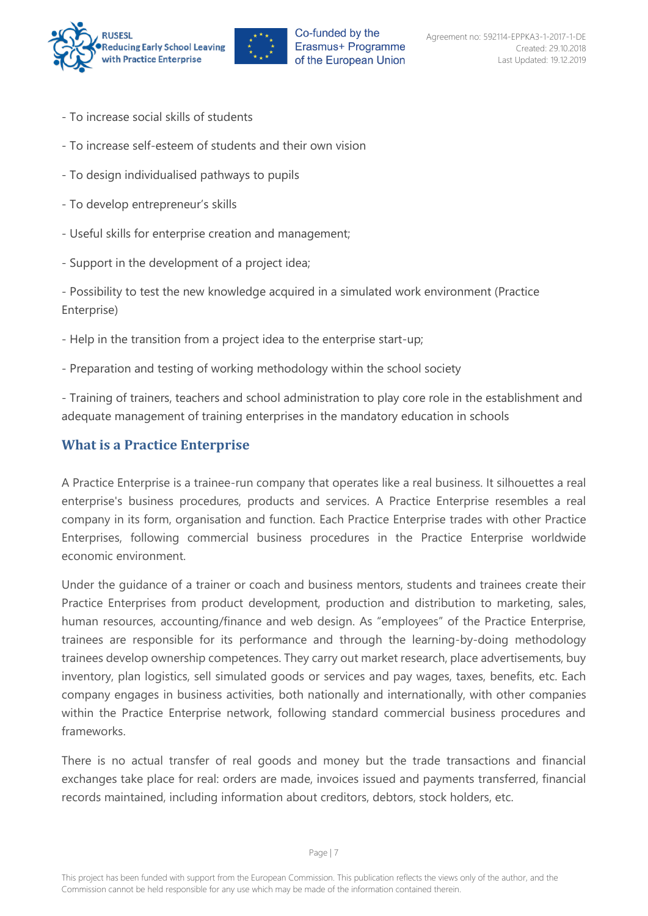



- To increase social skills of students
- To increase self-esteem of students and their own vision
- To design individualised pathways to pupils
- To develop entrepreneur's skills
- Useful skills for enterprise creation and management;
- Support in the development of a project idea;

- Possibility to test the new knowledge acquired in a simulated work environment (Practice Enterprise)

- Help in the transition from a project idea to the enterprise start-up;
- Preparation and testing of working methodology within the school society

- Training of trainers, teachers and school administration to play core role in the establishment and adequate management of training enterprises in the mandatory education in schools

## <span id="page-7-0"></span>**What is a Practice Enterprise**

A Practice Enterprise is a trainee-run company that operates like a real business. It silhouettes a real enterprise's business procedures, products and services. A Practice Enterprise resembles a real company in its form, organisation and function. Each Practice Enterprise trades with other Practice Enterprises, following commercial business procedures in the Practice Enterprise worldwide economic environment.

Under the guidance of a trainer or coach and business mentors, students and trainees create their Practice Enterprises from product development, production and distribution to marketing, sales, human resources, accounting/finance and web design. As "employees" of the Practice Enterprise, trainees are responsible for its performance and through the learning-by-doing methodology trainees develop ownership competences. They carry out market research, place advertisements, buy inventory, plan logistics, sell simulated goods or services and pay wages, taxes, benefits, etc. Each company engages in business activities, both nationally and internationally, with other companies within the Practice Enterprise network, following standard commercial business procedures and frameworks.

There is no actual transfer of real goods and money but the trade transactions and financial exchanges take place for real: orders are made, invoices issued and payments transferred, financial records maintained, including information about creditors, debtors, stock holders, etc.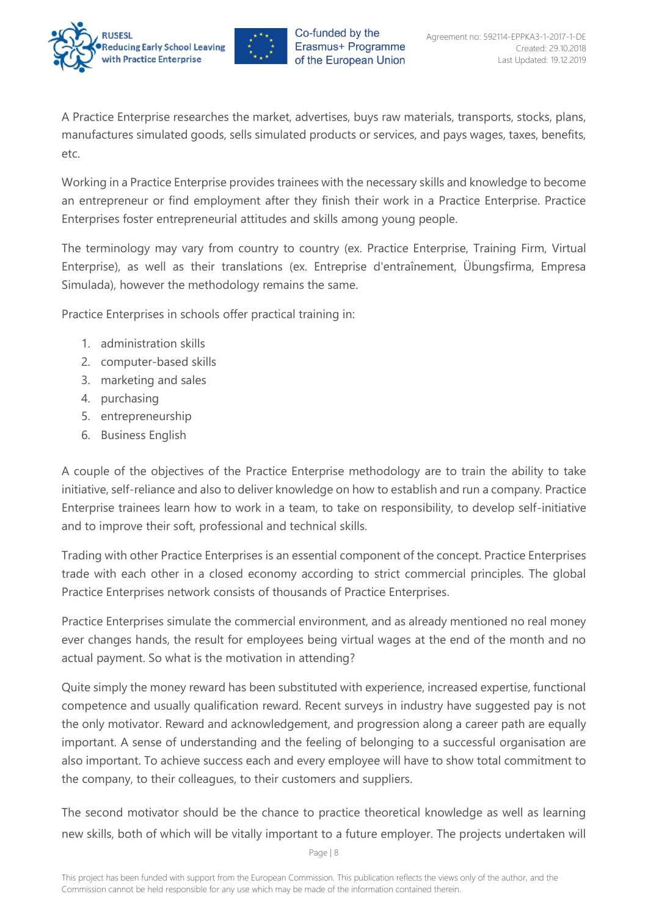



A Practice Enterprise researches the market, advertises, buys raw materials, transports, stocks, plans, manufactures simulated goods, sells simulated products or services, and pays wages, taxes, benefits, etc.

Working in a Practice Enterprise provides trainees with the necessary skills and knowledge to become an entrepreneur or find employment after they finish their work in a Practice Enterprise. Practice Enterprises foster entrepreneurial attitudes and skills among young people.

The terminology may vary from country to country (ex. Practice Enterprise, Training Firm, Virtual Enterprise), as well as their translations (ex. Entreprise d'entraînement, Übungsfirma, Empresa Simulada), however the methodology remains the same.

Practice Enterprises in schools offer practical training in:

- 1. administration skills
- 2. computer-based skills
- 3. marketing and sales
- 4. purchasing
- 5. entrepreneurship
- 6. Business English

A couple of the objectives of the Practice Enterprise methodology are to train the ability to take initiative, self-reliance and also to deliver knowledge on how to establish and run a company. Practice Enterprise trainees learn how to work in a team, to take on responsibility, to develop self-initiative and to improve their soft, professional and technical skills.

Trading with other Practice Enterprises is an essential component of the concept. Practice Enterprises trade with each other in a closed economy according to strict commercial principles. The global Practice Enterprises network consists of thousands of Practice Enterprises.

Practice Enterprises simulate the commercial environment, and as already mentioned no real money ever changes hands, the result for employees being virtual wages at the end of the month and no actual payment. So what is the motivation in attending?

Quite simply the money reward has been substituted with experience, increased expertise, functional competence and usually qualification reward. Recent surveys in industry have suggested pay is not the only motivator. Reward and acknowledgement, and progression along a career path are equally important. A sense of understanding and the feeling of belonging to a successful organisation are also important. To achieve success each and every employee will have to show total commitment to the company, to their colleagues, to their customers and suppliers.

The second motivator should be the chance to practice theoretical knowledge as well as learning new skills, both of which will be vitally important to a future employer. The projects undertaken will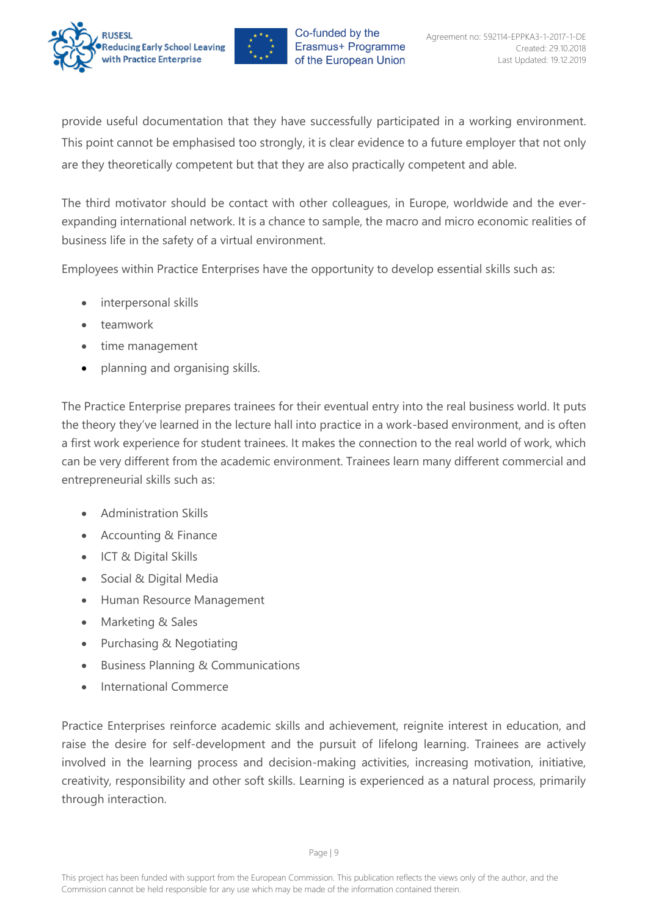



provide useful documentation that they have successfully participated in a working environment. This point cannot be emphasised too strongly, it is clear evidence to a future employer that not only are they theoretically competent but that they are also practically competent and able.

The third motivator should be contact with other colleagues, in Europe, worldwide and the everexpanding international network. It is a chance to sample, the macro and micro economic realities of business life in the safety of a virtual environment.

Employees within Practice Enterprises have the opportunity to develop essential skills such as:

- interpersonal skills
- teamwork
- time management
- planning and organising skills.

The Practice Enterprise prepares trainees for their eventual entry into the real business world. It puts the theory they've learned in the lecture hall into practice in a work-based environment, and is often a first work experience for student trainees. It makes the connection to the real world of work, which can be very different from the academic environment. Trainees learn many different commercial and entrepreneurial skills such as:

- Administration Skills
- Accounting & Finance
- ICT & Digital Skills
- Social & Digital Media
- Human Resource Management
- Marketing & Sales
- Purchasing & Negotiating
- Business Planning & Communications
- International Commerce

Practice Enterprises reinforce academic skills and achievement, reignite interest in education, and raise the desire for self-development and the pursuit of lifelong learning. Trainees are actively involved in the learning process and decision-making activities, increasing motivation, initiative, creativity, responsibility and other soft skills. Learning is experienced as a natural process, primarily through interaction.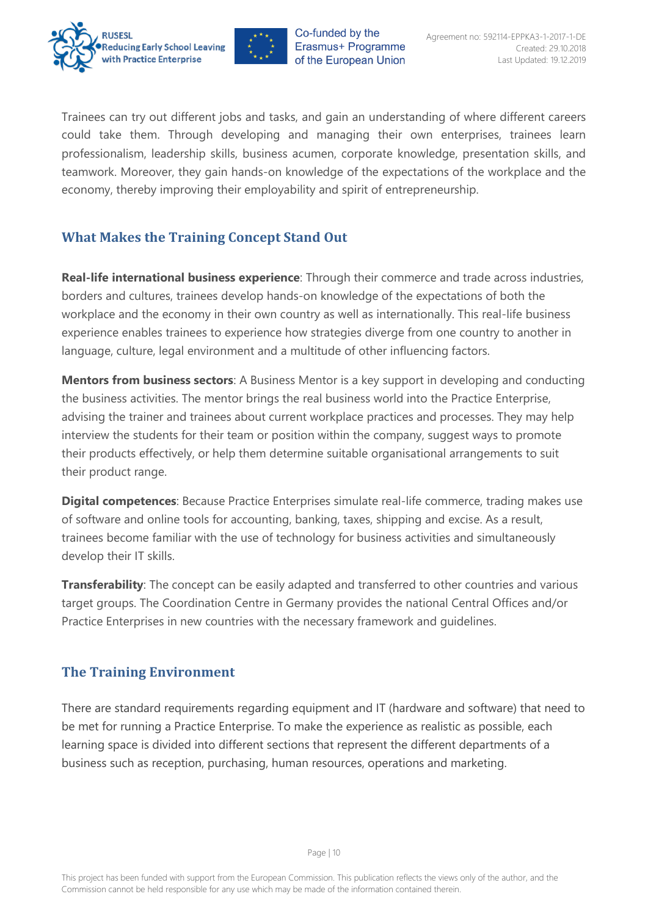



Trainees can try out different jobs and tasks, and gain an understanding of where different careers could take them. Through developing and managing their own enterprises, trainees learn professionalism, leadership skills, business acumen, corporate knowledge, presentation skills, and teamwork. Moreover, they gain hands-on knowledge of the expectations of the workplace and the economy, thereby improving their employability and spirit of entrepreneurship.

## <span id="page-10-0"></span>**What Makes the Training Concept Stand Out**

**Real-life international business experience**: Through their commerce and trade across industries, borders and cultures, trainees develop hands-on knowledge of the expectations of both the workplace and the economy in their own country as well as internationally. This real-life business experience enables trainees to experience how strategies diverge from one country to another in language, culture, legal environment and a multitude of other influencing factors.

**Mentors from business sectors**: A Business Mentor is a key support in developing and conducting the business activities. The mentor brings the real business world into the Practice Enterprise, advising the trainer and trainees about current workplace practices and processes. They may help interview the students for their team or position within the company, suggest ways to promote their products effectively, or help them determine suitable organisational arrangements to suit their product range.

**Digital competences**: Because Practice Enterprises simulate real-life commerce, trading makes use of software and online tools for accounting, banking, taxes, shipping and excise. As a result, trainees become familiar with the use of technology for business activities and simultaneously develop their IT skills.

**Transferability**: The concept can be easily adapted and transferred to other countries and various target groups. The Coordination Centre in Germany provides the national Central Offices and/or Practice Enterprises in new countries with the necessary framework and guidelines.

## <span id="page-10-1"></span>**The Training Environment**

There are standard requirements regarding equipment and IT (hardware and software) that need to be met for running a Practice Enterprise. To make the experience as realistic as possible, each learning space is divided into different sections that represent the different departments of a business such as reception, purchasing, human resources, operations and marketing.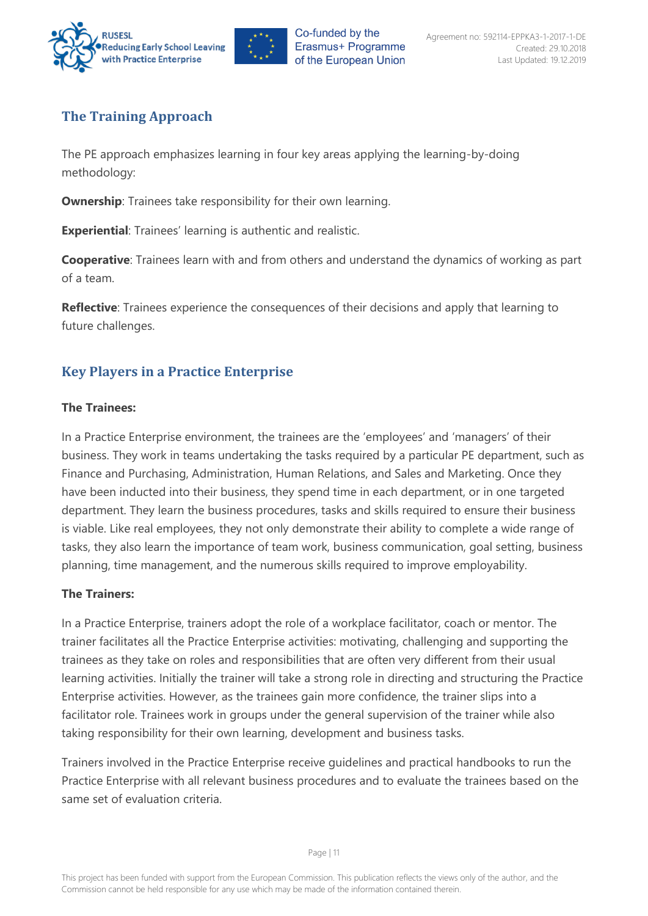



## <span id="page-11-0"></span>**The Training Approach**

The PE approach emphasizes learning in four key areas applying the learning-by-doing methodology:

**Ownership:** Trainees take responsibility for their own learning.

**Experiential**: Trainees' learning is authentic and realistic.

**Cooperative**: Trainees learn with and from others and understand the dynamics of working as part of a team.

**Reflective**: Trainees experience the consequences of their decisions and apply that learning to future challenges.

## <span id="page-11-1"></span>**Key Players in a Practice Enterprise**

#### **The Trainees:**

In a Practice Enterprise environment, the trainees are the 'employees' and 'managers' of their business. They work in teams undertaking the tasks required by a particular PE department, such as Finance and Purchasing, Administration, Human Relations, and Sales and Marketing. Once they have been inducted into their business, they spend time in each department, or in one targeted department. They learn the business procedures, tasks and skills required to ensure their business is viable. Like real employees, they not only demonstrate their ability to complete a wide range of tasks, they also learn the importance of team work, business communication, goal setting, business planning, time management, and the numerous skills required to improve employability.

#### **The Trainers:**

In a Practice Enterprise, trainers adopt the role of a workplace facilitator, coach or mentor. The trainer facilitates all the Practice Enterprise activities: motivating, challenging and supporting the trainees as they take on roles and responsibilities that are often very different from their usual learning activities. Initially the trainer will take a strong role in directing and structuring the Practice Enterprise activities. However, as the trainees gain more confidence, the trainer slips into a facilitator role. Trainees work in groups under the general supervision of the trainer while also taking responsibility for their own learning, development and business tasks.

Trainers involved in the Practice Enterprise receive guidelines and practical handbooks to run the Practice Enterprise with all relevant business procedures and to evaluate the trainees based on the same set of evaluation criteria.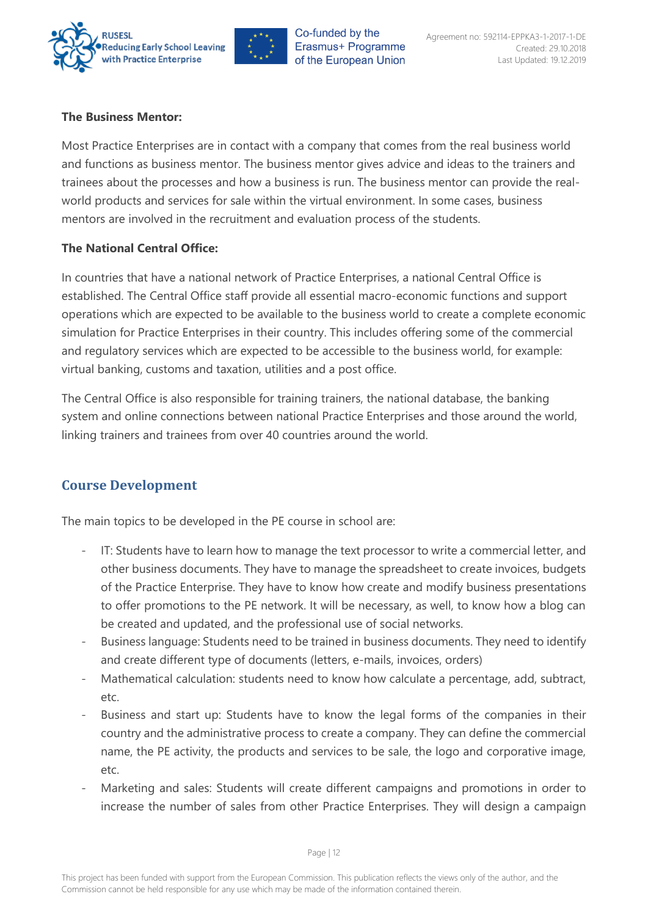



#### **The Business Mentor:**

Most Practice Enterprises are in contact with a company that comes from the real business world and functions as business mentor. The business mentor gives advice and ideas to the trainers and trainees about the processes and how a business is run. The business mentor can provide the realworld products and services for sale within the virtual environment. In some cases, business mentors are involved in the recruitment and evaluation process of the students.

#### **The National Central Office:**

In countries that have a national network of Practice Enterprises, a national Central Office is established. The Central Office staff provide all essential macro-economic functions and support operations which are expected to be available to the business world to create a complete economic simulation for Practice Enterprises in their country. This includes offering some of the commercial and regulatory services which are expected to be accessible to the business world, for example: virtual banking, customs and taxation, utilities and a post office.

The Central Office is also responsible for training trainers, the national database, the banking system and online connections between national Practice Enterprises and those around the world, linking trainers and trainees from over 40 countries around the world.

#### <span id="page-12-0"></span>**Course Development**

The main topics to be developed in the PE course in school are:

- IT: Students have to learn how to manage the text processor to write a commercial letter, and other business documents. They have to manage the spreadsheet to create invoices, budgets of the Practice Enterprise. They have to know how create and modify business presentations to offer promotions to the PE network. It will be necessary, as well, to know how a blog can be created and updated, and the professional use of social networks.
- Business language: Students need to be trained in business documents. They need to identify and create different type of documents (letters, e-mails, invoices, orders)
- Mathematical calculation: students need to know how calculate a percentage, add, subtract, etc.
- Business and start up: Students have to know the legal forms of the companies in their country and the administrative process to create a company. They can define the commercial name, the PE activity, the products and services to be sale, the logo and corporative image, etc.
- Marketing and sales: Students will create different campaigns and promotions in order to increase the number of sales from other Practice Enterprises. They will design a campaign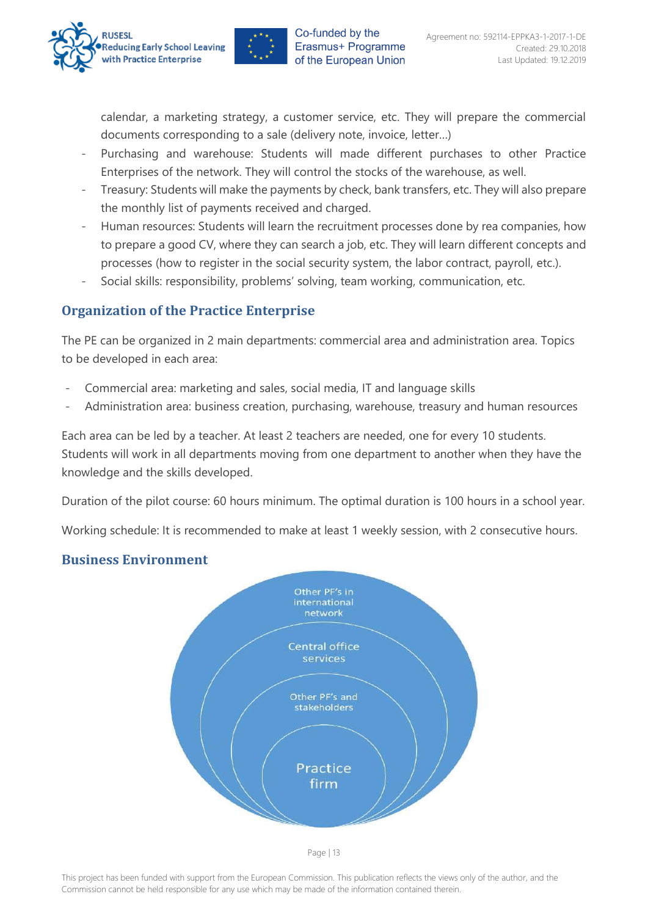



calendar, a marketing strategy, a customer service, etc. They will prepare the commercial documents corresponding to a sale (delivery note, invoice, letter…)

- Purchasing and warehouse: Students will made different purchases to other Practice Enterprises of the network. They will control the stocks of the warehouse, as well.
- Treasury: Students will make the payments by check, bank transfers, etc. They will also prepare the monthly list of payments received and charged.
- Human resources: Students will learn the recruitment processes done by rea companies, how to prepare a good CV, where they can search a job, etc. They will learn different concepts and processes (how to register in the social security system, the labor contract, payroll, etc.).
- Social skills: responsibility, problems' solving, team working, communication, etc.

## <span id="page-13-0"></span>**Organization of the Practice Enterprise**

The PE can be organized in 2 main departments: commercial area and administration area. Topics to be developed in each area:

- Commercial area: marketing and sales, social media, IT and language skills
- Administration area: business creation, purchasing, warehouse, treasury and human resources

Each area can be led by a teacher. At least 2 teachers are needed, one for every 10 students. Students will work in all departments moving from one department to another when they have the knowledge and the skills developed.

Duration of the pilot course: 60 hours minimum. The optimal duration is 100 hours in a school year.

Working schedule: It is recommended to make at least 1 weekly session, with 2 consecutive hours.

## <span id="page-13-1"></span>**Business Environment**

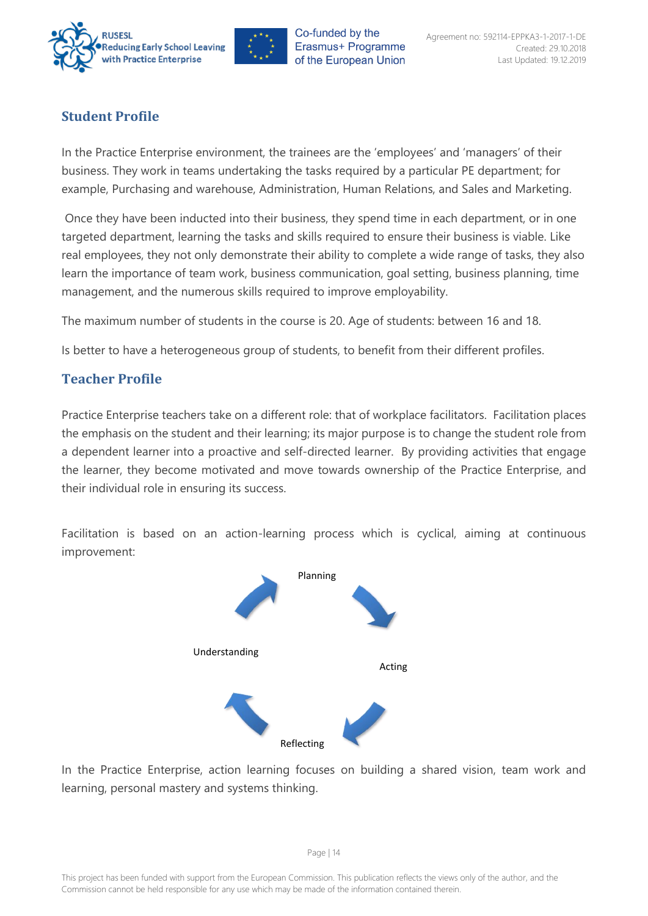



## <span id="page-14-0"></span>**Student Profile**

In the Practice Enterprise environment, the trainees are the 'employees' and 'managers' of their business. They work in teams undertaking the tasks required by a particular PE department; for example, Purchasing and warehouse, Administration, Human Relations, and Sales and Marketing.

Once they have been inducted into their business, they spend time in each department, or in one targeted department, learning the tasks and skills required to ensure their business is viable. Like real employees, they not only demonstrate their ability to complete a wide range of tasks, they also learn the importance of team work, business communication, goal setting, business planning, time management, and the numerous skills required to improve employability.

The maximum number of students in the course is 20. Age of students: between 16 and 18.

Is better to have a heterogeneous group of students, to benefit from their different profiles.

## <span id="page-14-1"></span>**Teacher Profile**

Practice Enterprise teachers take on a different role: that of workplace facilitators. Facilitation places the emphasis on the student and their learning; its major purpose is to change the student role from a dependent learner into a proactive and self-directed learner. By providing activities that engage the learner, they become motivated and move towards ownership of the Practice Enterprise, and their individual role in ensuring its success.

Facilitation is based on an action-learning process which is cyclical, aiming at continuous improvement:



<span id="page-14-2"></span>In the Practice Enterprise, action learning focuses on building a shared vision, team work and learning, personal mastery and systems thinking.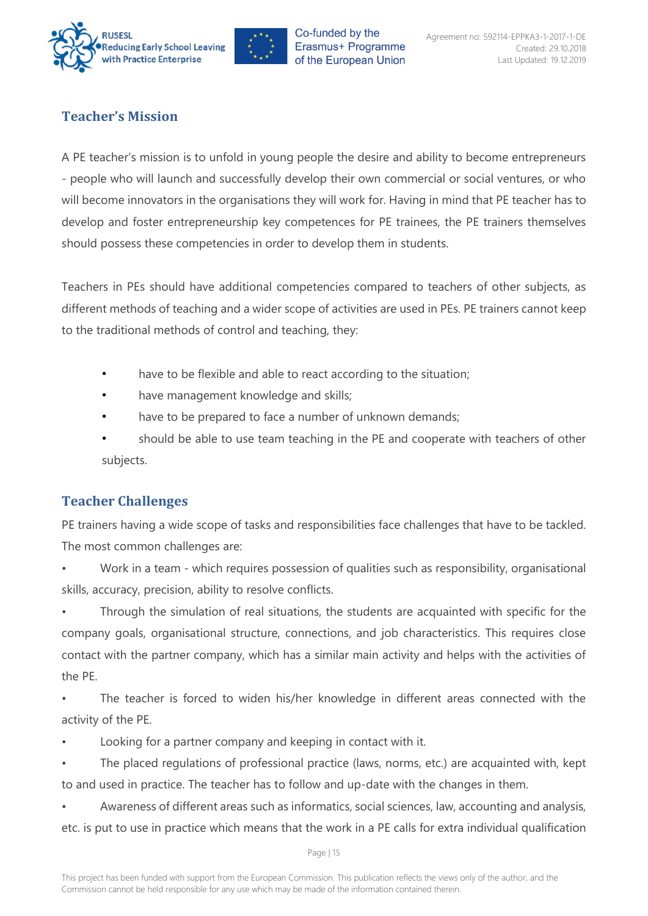



## **Teacher's Mission**

A PE teacher's mission is to unfold in young people the desire and ability to become entrepreneurs - people who will launch and successfully develop their own commercial or social ventures, or who will become innovators in the organisations they will work for. Having in mind that PE teacher has to develop and foster entrepreneurship key competences for PE trainees, the PE trainers themselves should possess these competencies in order to develop them in students.

Teachers in PEs should have additional competencies compared to teachers of other subjects, as different methods of teaching and a wider scope of activities are used in PEs. PE trainers cannot keep to the traditional methods of control and teaching, they:

- have to be flexible and able to react according to the situation;
- have management knowledge and skills;
- have to be prepared to face a number of unknown demands;
- should be able to use team teaching in the PE and cooperate with teachers of other subjects.

## <span id="page-15-0"></span>**Teacher Challenges**

PE trainers having a wide scope of tasks and responsibilities face challenges that have to be tackled. The most common challenges are:

• Work in a team - which requires possession of qualities such as responsibility, organisational skills, accuracy, precision, ability to resolve conflicts.

Through the simulation of real situations, the students are acquainted with specific for the company goals, organisational structure, connections, and job characteristics. This requires close contact with the partner company, which has a similar main activity and helps with the activities of the PE.

• The teacher is forced to widen his/her knowledge in different areas connected with the activity of the PE.

- Looking for a partner company and keeping in contact with it.
- The placed regulations of professional practice (laws, norms, etc.) are acquainted with, kept to and used in practice. The teacher has to follow and up-date with the changes in them.

• Awareness of different areas such as informatics, social sciences, law, accounting and analysis, etc. is put to use in practice which means that the work in a PE calls for extra individual qualification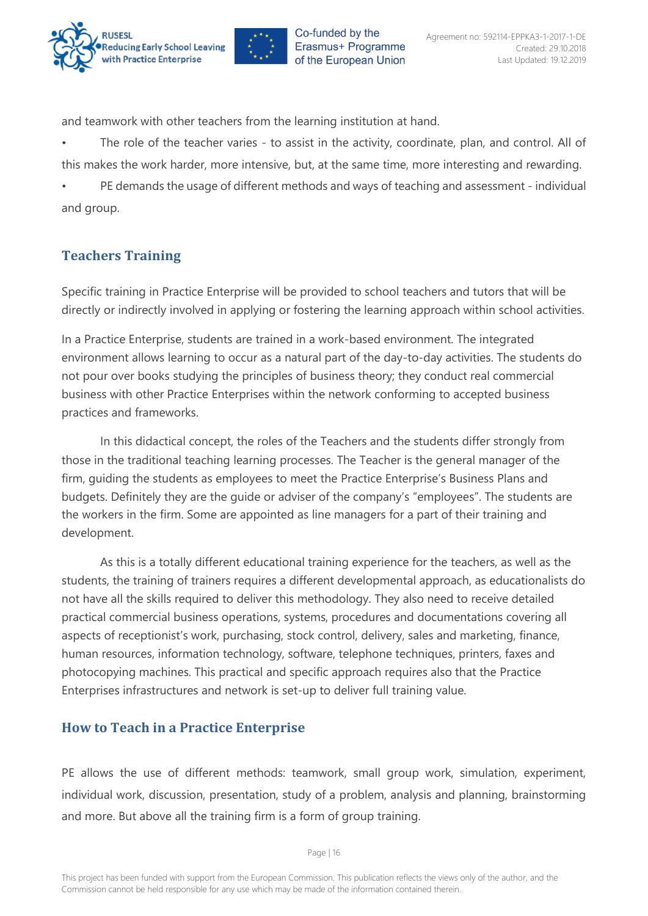



and teamwork with other teachers from the learning institution at hand.

• The role of the teacher varies - to assist in the activity, coordinate, plan, and control. All of this makes the work harder, more intensive, but, at the same time, more interesting and rewarding.

• PE demands the usage of different methods and ways of teaching and assessment - individual and group.

## <span id="page-16-0"></span>**Teachers Training**

Specific training in Practice Enterprise will be provided to school teachers and tutors that will be directly or indirectly involved in applying or fostering the learning approach within school activities.

In a Practice Enterprise, students are trained in a work-based environment. The integrated environment allows learning to occur as a natural part of the day-to-day activities. The students do not pour over books studying the principles of business theory; they conduct real commercial business with other Practice Enterprises within the network conforming to accepted business practices and frameworks.

In this didactical concept, the roles of the Teachers and the students differ strongly from those in the traditional teaching learning processes. The Teacher is the general manager of the firm, guiding the students as employees to meet the Practice Enterprise's Business Plans and budgets. Definitely they are the guide or adviser of the company's "employees". The students are the workers in the firm. Some are appointed as line managers for a part of their training and development.

As this is a totally different educational training experience for the teachers, as well as the students, the training of trainers requires a different developmental approach, as educationalists do not have all the skills required to deliver this methodology. They also need to receive detailed practical commercial business operations, systems, procedures and documentations covering all aspects of receptionist's work, purchasing, stock control, delivery, sales and marketing, finance, human resources, information technology, software, telephone techniques, printers, faxes and photocopying machines. This practical and specific approach requires also that the Practice Enterprises infrastructures and network is set-up to deliver full training value.

#### <span id="page-16-1"></span>**How to Teach in a Practice Enterprise**

PE allows the use of different methods: teamwork, small group work, simulation, experiment, individual work, discussion, presentation, study of a problem, analysis and planning, brainstorming and more. But above all the training firm is a form of group training.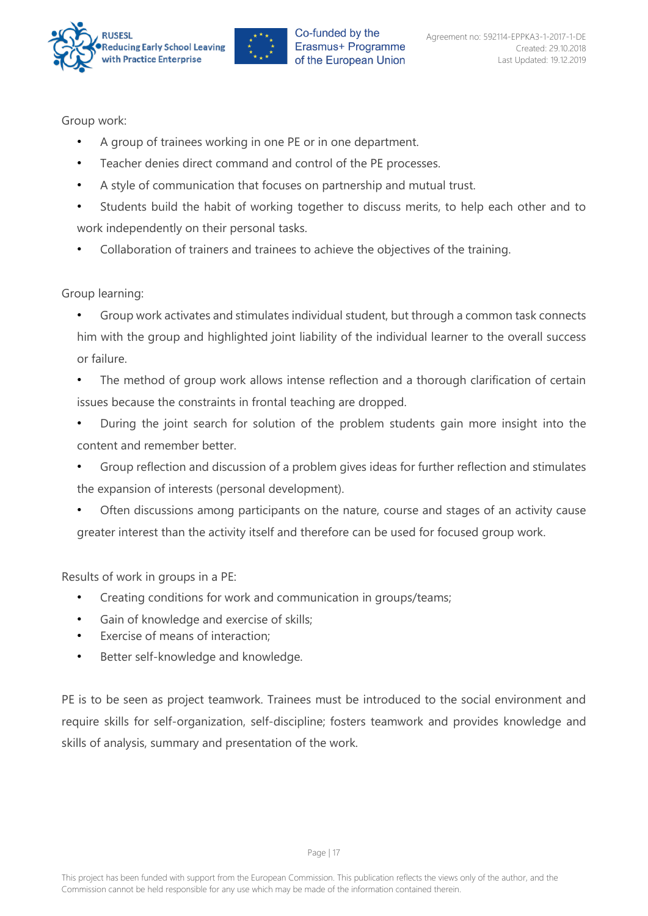



Group work:

- A group of trainees working in one PE or in one department.
- Teacher denies direct command and control of the PE processes.
- A style of communication that focuses on partnership and mutual trust.
- Students build the habit of working together to discuss merits, to help each other and to work independently on their personal tasks.
- Collaboration of trainers and trainees to achieve the objectives of the training.

## Group learning:

- Group work activates and stimulates individual student, but through a common task connects him with the group and highlighted joint liability of the individual learner to the overall success or failure.
- The method of group work allows intense reflection and a thorough clarification of certain issues because the constraints in frontal teaching are dropped.
- During the joint search for solution of the problem students gain more insight into the content and remember better.
- Group reflection and discussion of a problem gives ideas for further reflection and stimulates the expansion of interests (personal development).
- Often discussions among participants on the nature, course and stages of an activity cause greater interest than the activity itself and therefore can be used for focused group work.

Results of work in groups in a PE:

- Creating conditions for work and communication in groups/teams;
- Gain of knowledge and exercise of skills;
- Exercise of means of interaction:
- Better self-knowledge and knowledge.

PE is to be seen as project teamwork. Trainees must be introduced to the social environment and require skills for self-organization, self-discipline; fosters teamwork and provides knowledge and skills of analysis, summary and presentation of the work.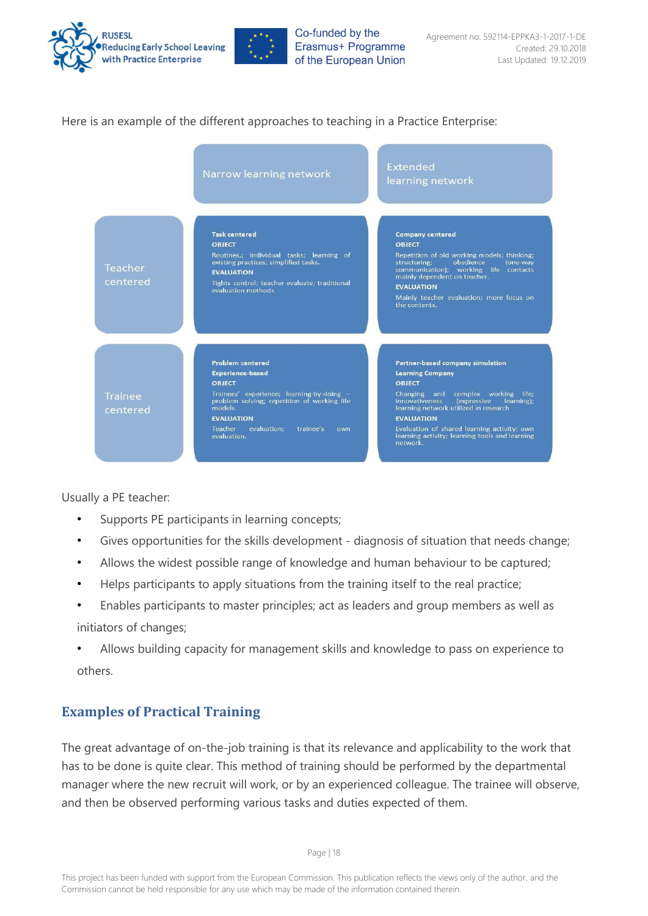



#### Here is an example of the different approaches to teaching in a Practice Enterprise:

|                            | Narrow learning network                                                                                                                                                                                                                                      | <b>Extended</b><br>learning network                                                                                                                                                                                                                                                                                                                        |
|----------------------------|--------------------------------------------------------------------------------------------------------------------------------------------------------------------------------------------------------------------------------------------------------------|------------------------------------------------------------------------------------------------------------------------------------------------------------------------------------------------------------------------------------------------------------------------------------------------------------------------------------------------------------|
| Teacher<br>centered        | <b>Task centered</b><br><b>OBJECT</b><br>Routines,; individual tasks; learning of<br>existing practices; simplified tasks.<br><b>EVALUATION</b><br>Tights control; teacher evaluate; traditional<br>evaluation methods.                                      | <b>Company centered</b><br><b>OBJECT</b><br>Repetition of old working models; thinking;<br>obedience<br>structuring;<br>(one-way<br>communication); working life contacts<br>mainly dependent on teacher.<br><b>EVALUATION</b><br>Mainly teacher evaluation; more focus on<br>the contents.                                                                |
| <b>Trainee</b><br>centered | <b>Problem centered</b><br><b>Experience-based</b><br><b>OBJECT</b><br>Trainees' experience; learning-by-doing -<br>problem solving; repetition of working life<br>models.<br><b>EVALUATION</b><br>evaluation:<br>Teacher<br>trainee's<br>own<br>evaluation. | Partner-based company simulation<br><b>Learning Company</b><br><b>OBJECT</b><br>Changing and complex working life;<br><b>innovativeness</b><br><i>(expressive</i><br>learning);<br>learning network utilized in research<br><b>EVALUATION</b><br>Evaluation of shared learning activity; own<br>learning activity; learning tools and learning<br>network. |

Usually a PE teacher:

- Supports PE participants in learning concepts;
- Gives opportunities for the skills development diagnosis of situation that needs change;
- Allows the widest possible range of knowledge and human behaviour to be captured;
- Helps participants to apply situations from the training itself to the real practice;
- Enables participants to master principles; act as leaders and group members as well as initiators of changes;
- Allows building capacity for management skills and knowledge to pass on experience to others.

#### <span id="page-18-0"></span>**Examples of Practical Training**

The great advantage of on-the-job training is that its relevance and applicability to the work that has to be done is quite clear. This method of training should be performed by the departmental manager where the new recruit will work, or by an experienced colleague. The trainee will observe, and then be observed performing various tasks and duties expected of them.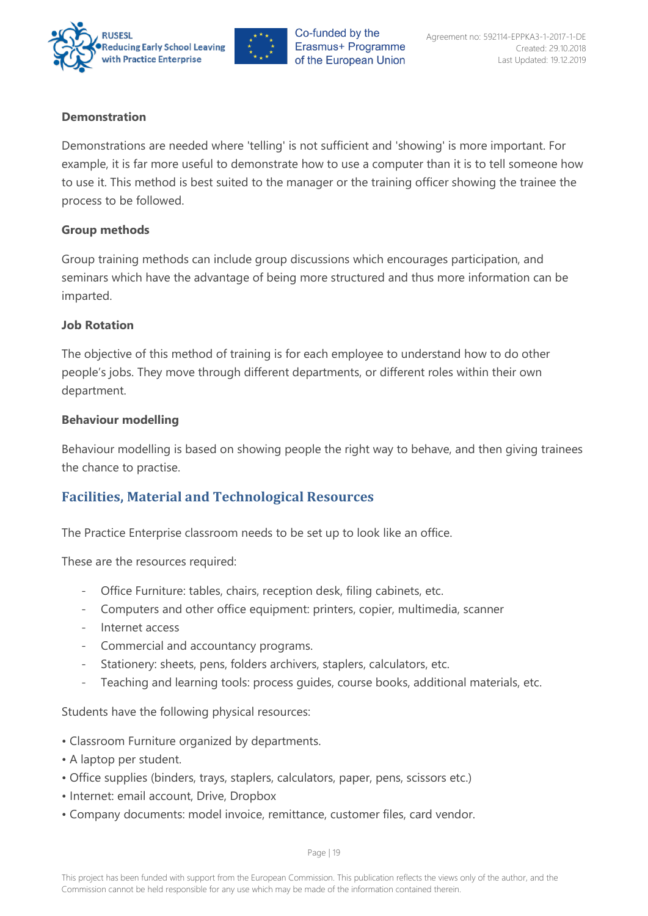



#### **Demonstration**

Demonstrations are needed where 'telling' is not sufficient and 'showing' is more important. For example, it is far more useful to demonstrate how to use a computer than it is to tell someone how to use it. This method is best suited to the manager or the training officer showing the trainee the process to be followed.

#### **Group methods**

Group training methods can include group discussions which encourages participation, and seminars which have the advantage of being more structured and thus more information can be imparted.

#### **Job Rotation**

The objective of this method of training is for each employee to understand how to do other people's jobs. They move through different departments, or different roles within their own department.

#### **Behaviour modelling**

Behaviour modelling is based on showing people the right way to behave, and then giving trainees the chance to practise.

#### <span id="page-19-0"></span>**Facilities, Material and Technological Resources**

The Practice Enterprise classroom needs to be set up to look like an office.

These are the resources required:

- Office Furniture: tables, chairs, reception desk, filing cabinets, etc.
- Computers and other office equipment: printers, copier, multimedia, scanner
- Internet access
- Commercial and accountancy programs.
- Stationery: sheets, pens, folders archivers, staplers, calculators, etc.
- Teaching and learning tools: process guides, course books, additional materials, etc.

Students have the following physical resources:

- Classroom Furniture organized by departments.
- A laptop per student.
- Office supplies (binders, trays, staplers, calculators, paper, pens, scissors etc.)
- Internet: email account, Drive, Dropbox
- Company documents: model invoice, remittance, customer files, card vendor.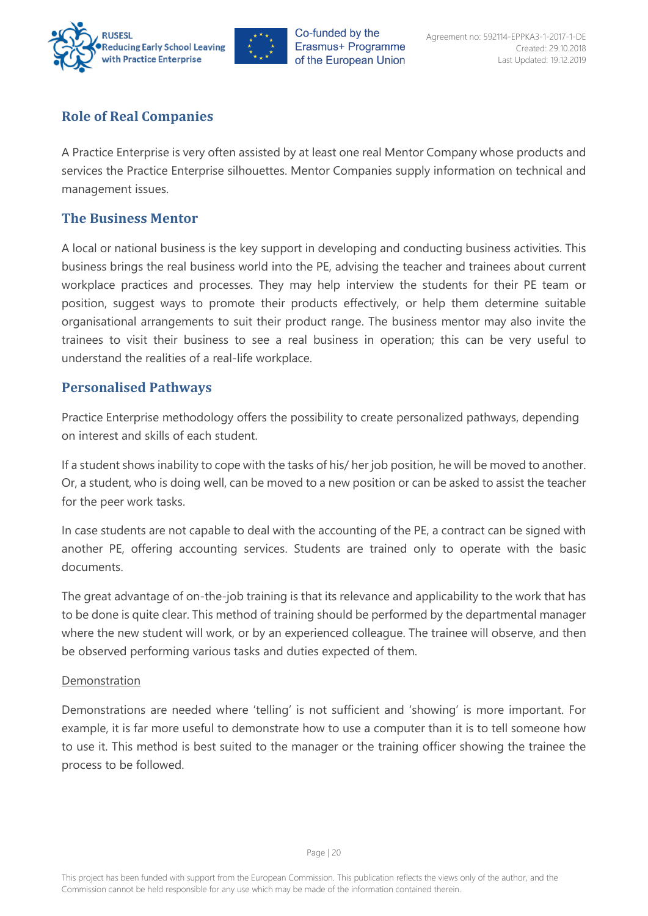



## <span id="page-20-0"></span>**Role of Real Companies**

A Practice Enterprise is very often assisted by at least one real Mentor Company whose products and services the Practice Enterprise silhouettes. Mentor Companies supply information on technical and management issues.

#### <span id="page-20-1"></span>**The Business Mentor**

A local or national business is the key support in developing and conducting business activities. This business brings the real business world into the PE, advising the teacher and trainees about current workplace practices and processes. They may help interview the students for their PE team or position, suggest ways to promote their products effectively, or help them determine suitable organisational arrangements to suit their product range. The business mentor may also invite the trainees to visit their business to see a real business in operation; this can be very useful to understand the realities of a real-life workplace.

#### <span id="page-20-2"></span>**Personalised Pathways**

Practice Enterprise methodology offers the possibility to create personalized pathways, depending on interest and skills of each student.

If a student shows inability to cope with the tasks of his/ her job position, he will be moved to another. Or, a student, who is doing well, can be moved to a new position or can be asked to assist the teacher for the peer work tasks.

In case students are not capable to deal with the accounting of the PE, a contract can be signed with another PE, offering accounting services. Students are trained only to operate with the basic documents.

The great advantage of on-the-job training is that its relevance and applicability to the work that has to be done is quite clear. This method of training should be performed by the departmental manager where the new student will work, or by an experienced colleague. The trainee will observe, and then be observed performing various tasks and duties expected of them.

#### Demonstration

Demonstrations are needed where 'telling' is not sufficient and 'showing' is more important. For example, it is far more useful to demonstrate how to use a computer than it is to tell someone how to use it. This method is best suited to the manager or the training officer showing the trainee the process to be followed.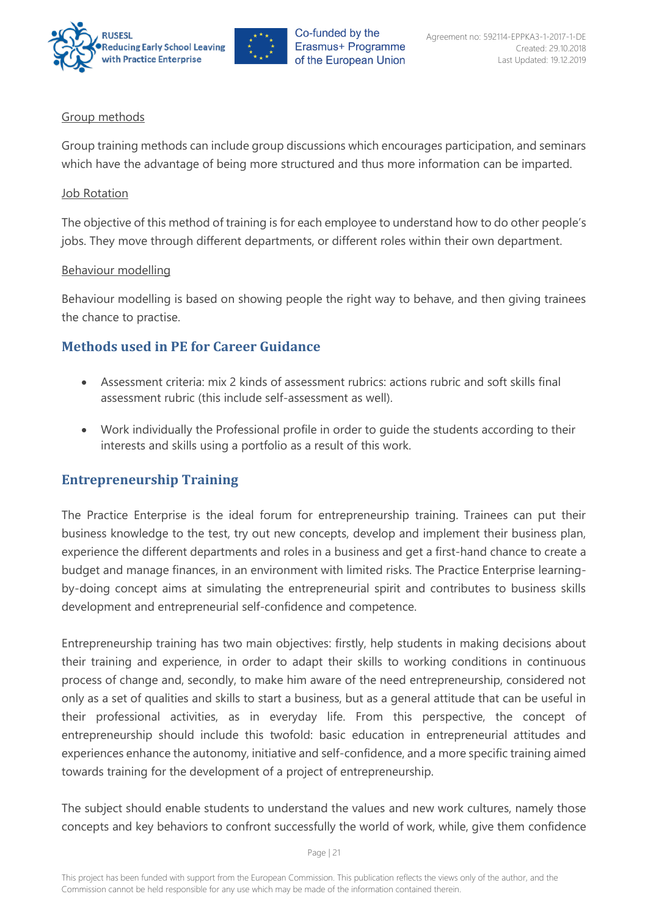



#### Group methods

Group training methods can include group discussions which encourages participation, and seminars which have the advantage of being more structured and thus more information can be imparted.

#### Job Rotation

The objective of this method of training is for each employee to understand how to do other people's jobs. They move through different departments, or different roles within their own department.

#### Behaviour modelling

Behaviour modelling is based on showing people the right way to behave, and then giving trainees the chance to practise.

#### <span id="page-21-0"></span>**Methods used in PE for Career Guidance**

- Assessment criteria: mix 2 kinds of assessment rubrics: actions rubric and soft skills final assessment rubric (this include self-assessment as well).
- Work individually the Professional profile in order to guide the students according to their interests and skills using a portfolio as a result of this work.

#### <span id="page-21-1"></span>**Entrepreneurship Training**

The Practice Enterprise is the ideal forum for entrepreneurship training. Trainees can put their business knowledge to the test, try out new concepts, develop and implement their business plan, experience the different departments and roles in a business and get a first-hand chance to create a budget and manage finances, in an environment with limited risks. The Practice Enterprise learningby-doing concept aims at simulating the entrepreneurial spirit and contributes to business skills development and entrepreneurial self-confidence and competence.

Entrepreneurship training has two main objectives: firstly, help students in making decisions about their training and experience, in order to adapt their skills to working conditions in continuous process of change and, secondly, to make him aware of the need entrepreneurship, considered not only as a set of qualities and skills to start a business, but as a general attitude that can be useful in their professional activities, as in everyday life. From this perspective, the concept of entrepreneurship should include this twofold: basic education in entrepreneurial attitudes and experiences enhance the autonomy, initiative and self-confidence, and a more specific training aimed towards training for the development of a project of entrepreneurship.

The subject should enable students to understand the values and new work cultures, namely those concepts and key behaviors to confront successfully the world of work, while, give them confidence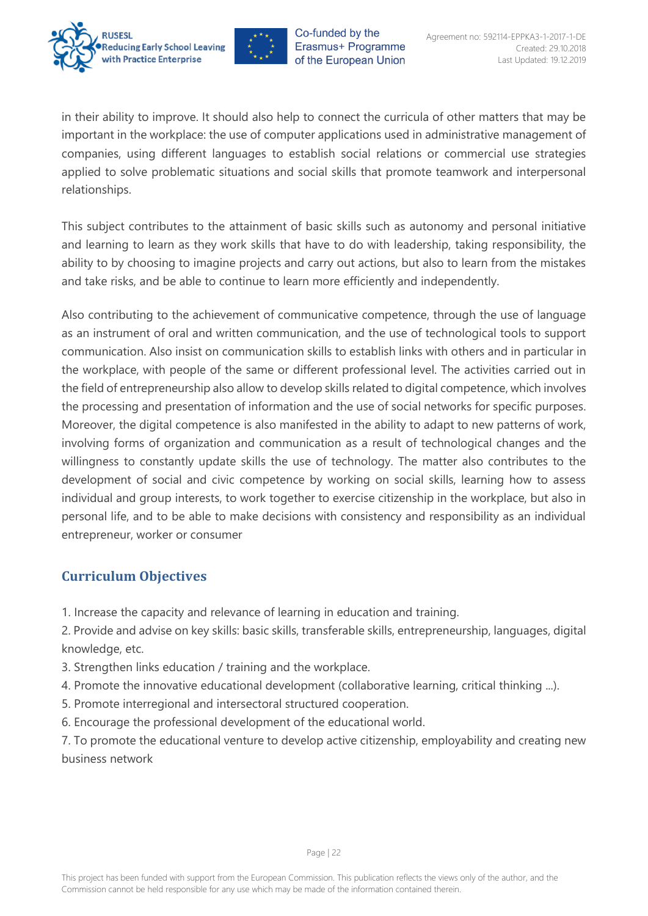



in their ability to improve. It should also help to connect the curricula of other matters that may be important in the workplace: the use of computer applications used in administrative management of companies, using different languages to establish social relations or commercial use strategies applied to solve problematic situations and social skills that promote teamwork and interpersonal relationships.

This subject contributes to the attainment of basic skills such as autonomy and personal initiative and learning to learn as they work skills that have to do with leadership, taking responsibility, the ability to by choosing to imagine projects and carry out actions, but also to learn from the mistakes and take risks, and be able to continue to learn more efficiently and independently.

Also contributing to the achievement of communicative competence, through the use of language as an instrument of oral and written communication, and the use of technological tools to support communication. Also insist on communication skills to establish links with others and in particular in the workplace, with people of the same or different professional level. The activities carried out in the field of entrepreneurship also allow to develop skills related to digital competence, which involves the processing and presentation of information and the use of social networks for specific purposes. Moreover, the digital competence is also manifested in the ability to adapt to new patterns of work, involving forms of organization and communication as a result of technological changes and the willingness to constantly update skills the use of technology. The matter also contributes to the development of social and civic competence by working on social skills, learning how to assess individual and group interests, to work together to exercise citizenship in the workplace, but also in personal life, and to be able to make decisions with consistency and responsibility as an individual entrepreneur, worker or consumer

## <span id="page-22-0"></span>**Curriculum Objectives**

1. Increase the capacity and relevance of learning in education and training.

2. Provide and advise on key skills: basic skills, transferable skills, entrepreneurship, languages, digital knowledge, etc.

- 3. Strengthen links education / training and the workplace.
- 4. Promote the innovative educational development (collaborative learning, critical thinking ...).
- 5. Promote interregional and intersectoral structured cooperation.
- 6. Encourage the professional development of the educational world.
- <span id="page-22-1"></span>7. To promote the educational venture to develop active citizenship, employability and creating new business network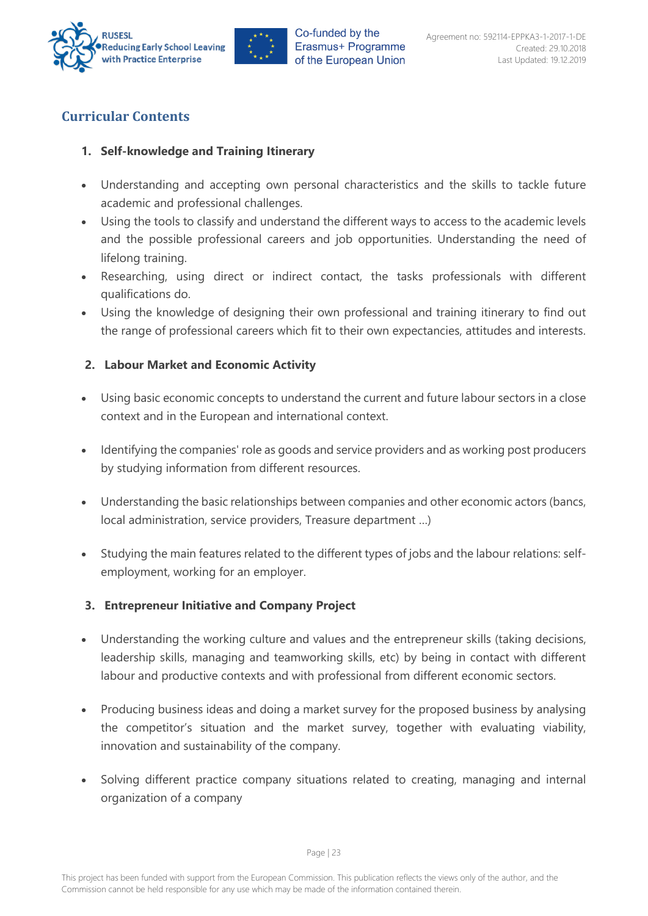



## **Curricular Contents**

#### **1. Self-knowledge and Training Itinerary**

- Understanding and accepting own personal characteristics and the skills to tackle future academic and professional challenges.
- Using the tools to classify and understand the different ways to access to the academic levels and the possible professional careers and job opportunities. Understanding the need of lifelong training.
- Researching, using direct or indirect contact, the tasks professionals with different qualifications do.
- Using the knowledge of designing their own professional and training itinerary to find out the range of professional careers which fit to their own expectancies, attitudes and interests.

#### **2. Labour Market and Economic Activity**

- Using basic economic concepts to understand the current and future labour sectors in a close context and in the European and international context.
- Identifying the companies' role as goods and service providers and as working post producers by studying information from different resources.
- Understanding the basic relationships between companies and other economic actors (bancs, local administration, service providers, Treasure department …)
- Studying the main features related to the different types of jobs and the labour relations: selfemployment, working for an employer.

#### **3. Entrepreneur Initiative and Company Project**

- Understanding the working culture and values and the entrepreneur skills (taking decisions, leadership skills, managing and teamworking skills, etc) by being in contact with different labour and productive contexts and with professional from different economic sectors.
- Producing business ideas and doing a market survey for the proposed business by analysing the competitor's situation and the market survey, together with evaluating viability, innovation and sustainability of the company.
- Solving different practice company situations related to creating, managing and internal organization of a company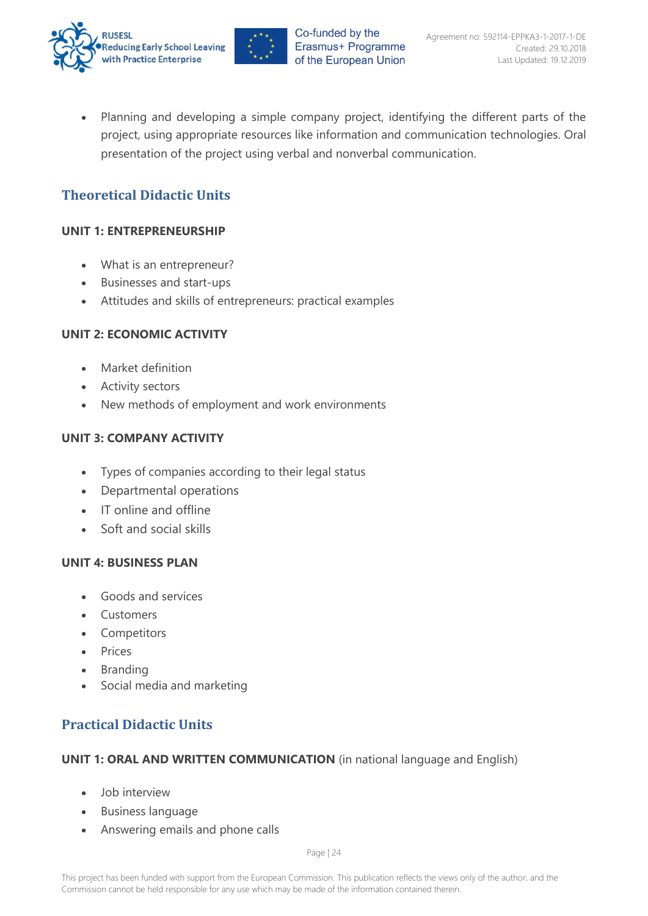



• Planning and developing a simple company project, identifying the different parts of the project, using appropriate resources like information and communication technologies. Oral presentation of the project using verbal and nonverbal communication.

## <span id="page-24-0"></span>**Theoretical Didactic Units**

#### **UNIT 1: ENTREPRENEURSHIP**

- What is an entrepreneur?
- Businesses and start-ups
- Attitudes and skills of entrepreneurs: practical examples

#### **UNIT 2: ECONOMIC ACTIVITY**

- Market definition
- Activity sectors
- New methods of employment and work environments

#### **UNIT 3: COMPANY ACTIVITY**

- Types of companies according to their legal status
- Departmental operations
- IT online and offline
- Soft and social skills

#### **UNIT 4: BUSINESS PLAN**

- Goods and services
- Customers
- Competitors
- Prices
- Branding
- Social media and marketing

## <span id="page-24-1"></span>**Practical Didactic Units**

#### **UNIT 1: ORAL AND WRITTEN COMMUNICATION** (in national language and English)

- Job interview
- Business language
- Answering emails and phone calls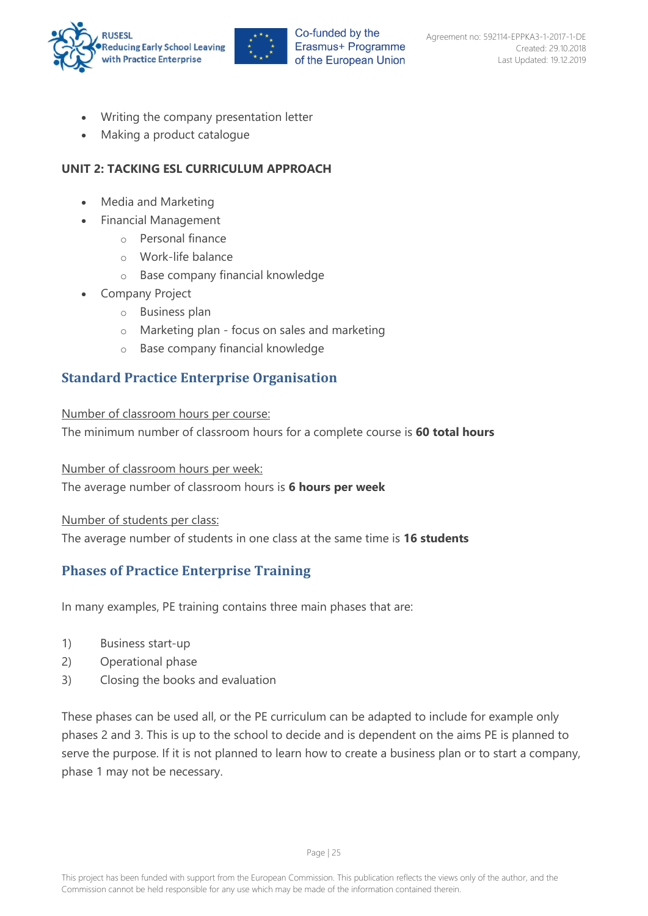



- Writing the company presentation letter
- Making a product catalogue

#### **UNIT 2: TACKING ESL CURRICULUM APPROACH**

- Media and Marketing
- Financial Management
	- o Personal finance
	- o Work-life balance
	- o Base company financial knowledge
- Company Project
	- o Business plan
	- o Marketing plan focus on sales and marketing
	- o Base company financial knowledge

## <span id="page-25-0"></span>**Standard Practice Enterprise Organisation**

Number of classroom hours per course:

The minimum number of classroom hours for a complete course is **60 total hours**

Number of classroom hours per week:

The average number of classroom hours is **6 hours per week**

Number of students per class:

The average number of students in one class at the same time is **16 students**

## <span id="page-25-1"></span>**Phases of Practice Enterprise Training**

In many examples, PE training contains three main phases that are:

- 1) Business start-up
- 2) Operational phase
- 3) Closing the books and evaluation

These phases can be used all, or the PE curriculum can be adapted to include for example only phases 2 and 3. This is up to the school to decide and is dependent on the aims PE is planned to serve the purpose. If it is not planned to learn how to create a business plan or to start a company, phase 1 may not be necessary.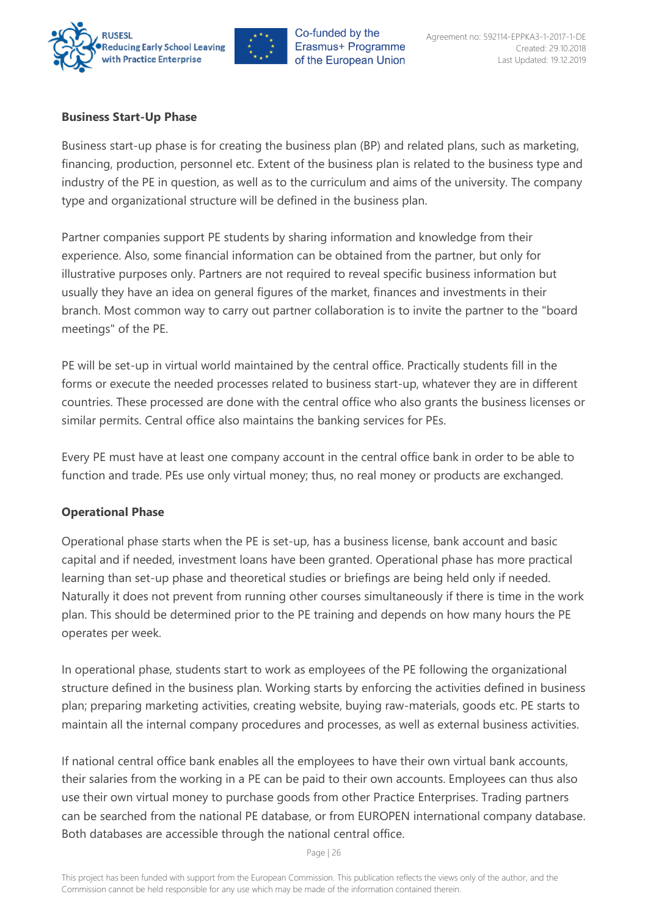



#### **Business Start-Up Phase**

Business start-up phase is for creating the business plan (BP) and related plans, such as marketing, financing, production, personnel etc. Extent of the business plan is related to the business type and industry of the PE in question, as well as to the curriculum and aims of the university. The company type and organizational structure will be defined in the business plan.

Partner companies support PE students by sharing information and knowledge from their experience. Also, some financial information can be obtained from the partner, but only for illustrative purposes only. Partners are not required to reveal specific business information but usually they have an idea on general figures of the market, finances and investments in their branch. Most common way to carry out partner collaboration is to invite the partner to the "board meetings" of the PE.

PE will be set-up in virtual world maintained by the central office. Practically students fill in the forms or execute the needed processes related to business start-up, whatever they are in different countries. These processed are done with the central office who also grants the business licenses or similar permits. Central office also maintains the banking services for PEs.

Every PE must have at least one company account in the central office bank in order to be able to function and trade. PEs use only virtual money; thus, no real money or products are exchanged.

#### **Operational Phase**

Operational phase starts when the PE is set-up, has a business license, bank account and basic capital and if needed, investment loans have been granted. Operational phase has more practical learning than set-up phase and theoretical studies or briefings are being held only if needed. Naturally it does not prevent from running other courses simultaneously if there is time in the work plan. This should be determined prior to the PE training and depends on how many hours the PE operates per week.

In operational phase, students start to work as employees of the PE following the organizational structure defined in the business plan. Working starts by enforcing the activities defined in business plan; preparing marketing activities, creating website, buying raw-materials, goods etc. PE starts to maintain all the internal company procedures and processes, as well as external business activities.

If national central office bank enables all the employees to have their own virtual bank accounts, their salaries from the working in a PE can be paid to their own accounts. Employees can thus also use their own virtual money to purchase goods from other Practice Enterprises. Trading partners can be searched from the national PE database, or from EUROPEN international company database. Both databases are accessible through the national central office.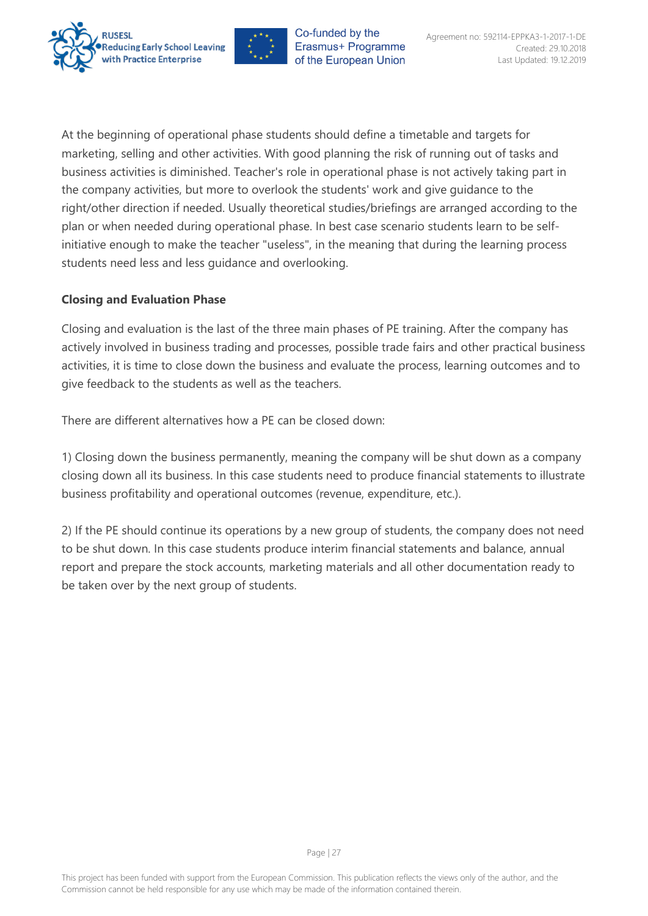



At the beginning of operational phase students should define a timetable and targets for marketing, selling and other activities. With good planning the risk of running out of tasks and business activities is diminished. Teacher's role in operational phase is not actively taking part in the company activities, but more to overlook the students' work and give guidance to the right/other direction if needed. Usually theoretical studies/briefings are arranged according to the plan or when needed during operational phase. In best case scenario students learn to be selfinitiative enough to make the teacher "useless", in the meaning that during the learning process students need less and less guidance and overlooking.

#### **Closing and Evaluation Phase**

Closing and evaluation is the last of the three main phases of PE training. After the company has actively involved in business trading and processes, possible trade fairs and other practical business activities, it is time to close down the business and evaluate the process, learning outcomes and to give feedback to the students as well as the teachers.

There are different alternatives how a PE can be closed down:

1) Closing down the business permanently, meaning the company will be shut down as a company closing down all its business. In this case students need to produce financial statements to illustrate business profitability and operational outcomes (revenue, expenditure, etc.).

2) If the PE should continue its operations by a new group of students, the company does not need to be shut down. In this case students produce interim financial statements and balance, annual report and prepare the stock accounts, marketing materials and all other documentation ready to be taken over by the next group of students.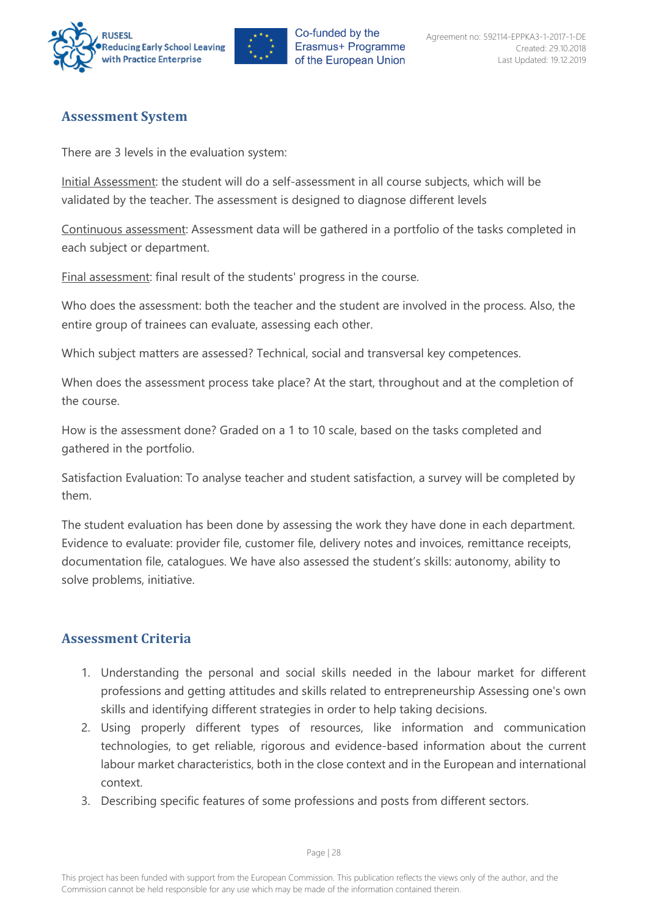



#### <span id="page-28-0"></span>**Assessment System**

There are 3 levels in the evaluation system:

Initial Assessment: the student will do a self-assessment in all course subjects, which will be validated by the teacher. The assessment is designed to diagnose different levels

Continuous assessment: Assessment data will be gathered in a portfolio of the tasks completed in each subject or department.

Final assessment: final result of the students' progress in the course.

Who does the assessment: both the teacher and the student are involved in the process. Also, the entire group of trainees can evaluate, assessing each other.

Which subject matters are assessed? Technical, social and transversal key competences.

When does the assessment process take place? At the start, throughout and at the completion of the course.

How is the assessment done? Graded on a 1 to 10 scale, based on the tasks completed and gathered in the portfolio.

Satisfaction Evaluation: To analyse teacher and student satisfaction, a survey will be completed by them.

The student evaluation has been done by assessing the work they have done in each department. Evidence to evaluate: provider file, customer file, delivery notes and invoices, remittance receipts, documentation file, catalogues. We have also assessed the student's skills: autonomy, ability to solve problems, initiative.

## <span id="page-28-1"></span>**Assessment Criteria**

- 1. Understanding the personal and social skills needed in the labour market for different professions and getting attitudes and skills related to entrepreneurship Assessing one's own skills and identifying different strategies in order to help taking decisions.
- 2. Using properly different types of resources, like information and communication technologies, to get reliable, rigorous and evidence-based information about the current labour market characteristics, both in the close context and in the European and international context.
- 3. Describing specific features of some professions and posts from different sectors.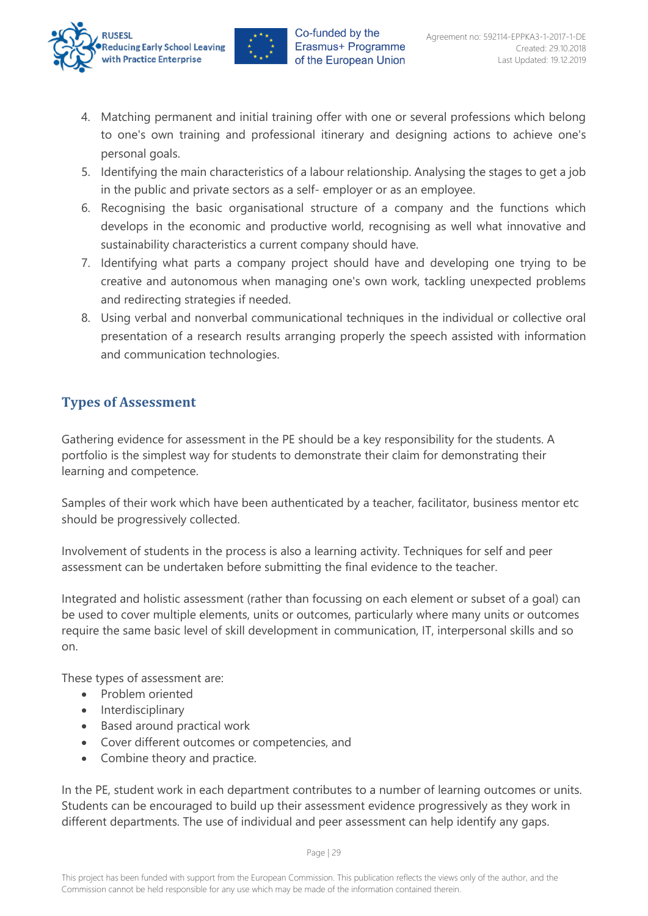



- 4. Matching permanent and initial training offer with one or several professions which belong to one's own training and professional itinerary and designing actions to achieve one's personal goals.
- 5. Identifying the main characteristics of a labour relationship. Analysing the stages to get a job in the public and private sectors as a self- employer or as an employee.
- 6. Recognising the basic organisational structure of a company and the functions which develops in the economic and productive world, recognising as well what innovative and sustainability characteristics a current company should have.
- 7. Identifying what parts a company project should have and developing one trying to be creative and autonomous when managing one's own work, tackling unexpected problems and redirecting strategies if needed.
- 8. Using verbal and nonverbal communicational techniques in the individual or collective oral presentation of a research results arranging properly the speech assisted with information and communication technologies.

## <span id="page-29-0"></span>**Types of Assessment**

Gathering evidence for assessment in the PE should be a key responsibility for the students. A portfolio is the simplest way for students to demonstrate their claim for demonstrating their learning and competence.

Samples of their work which have been authenticated by a teacher, facilitator, business mentor etc should be progressively collected.

Involvement of students in the process is also a learning activity. Techniques for self and peer assessment can be undertaken before submitting the final evidence to the teacher.

Integrated and holistic assessment (rather than focussing on each element or subset of a goal) can be used to cover multiple elements, units or outcomes, particularly where many units or outcomes require the same basic level of skill development in communication, IT, interpersonal skills and so on.

These types of assessment are:

- Problem oriented
- Interdisciplinary
- Based around practical work
- Cover different outcomes or competencies, and
- Combine theory and practice.

In the PE, student work in each department contributes to a number of learning outcomes or units. Students can be encouraged to build up their assessment evidence progressively as they work in different departments. The use of individual and peer assessment can help identify any gaps.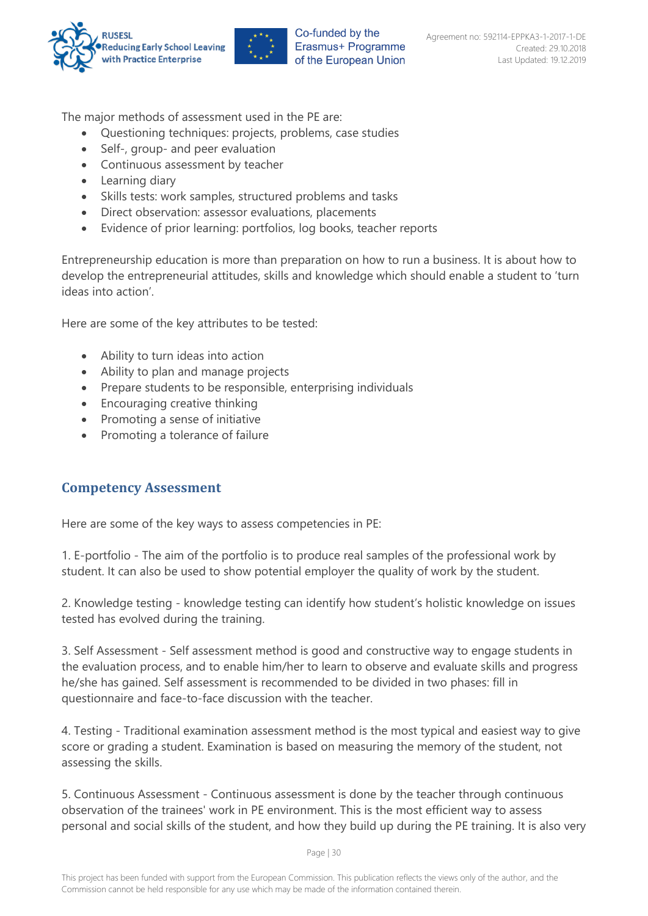



The major methods of assessment used in the PE are:

- Questioning techniques: projects, problems, case studies
- Self-, group- and peer evaluation
- Continuous assessment by teacher
- Learning diary
- Skills tests: work samples, structured problems and tasks
- Direct observation: assessor evaluations, placements
- Evidence of prior learning: portfolios, log books, teacher reports

Entrepreneurship education is more than preparation on how to run a business. It is about how to develop the entrepreneurial attitudes, skills and knowledge which should enable a student to 'turn ideas into action'.

Here are some of the key attributes to be tested:

- Ability to turn ideas into action
- Ability to plan and manage projects
- Prepare students to be responsible, enterprising individuals
- Encouraging creative thinking
- Promoting a sense of initiative
- Promoting a tolerance of failure

#### <span id="page-30-0"></span>**Competency Assessment**

Here are some of the key ways to assess competencies in PE:

1. E-portfolio - The aim of the portfolio is to produce real samples of the professional work by student. It can also be used to show potential employer the quality of work by the student.

2. Knowledge testing - knowledge testing can identify how student's holistic knowledge on issues tested has evolved during the training.

3. Self Assessment - Self assessment method is good and constructive way to engage students in the evaluation process, and to enable him/her to learn to observe and evaluate skills and progress he/she has gained. Self assessment is recommended to be divided in two phases: fill in questionnaire and face-to-face discussion with the teacher.

4. Testing - Traditional examination assessment method is the most typical and easiest way to give score or grading a student. Examination is based on measuring the memory of the student, not assessing the skills.

5. Continuous Assessment - Continuous assessment is done by the teacher through continuous observation of the trainees' work in PE environment. This is the most efficient way to assess personal and social skills of the student, and how they build up during the PE training. It is also very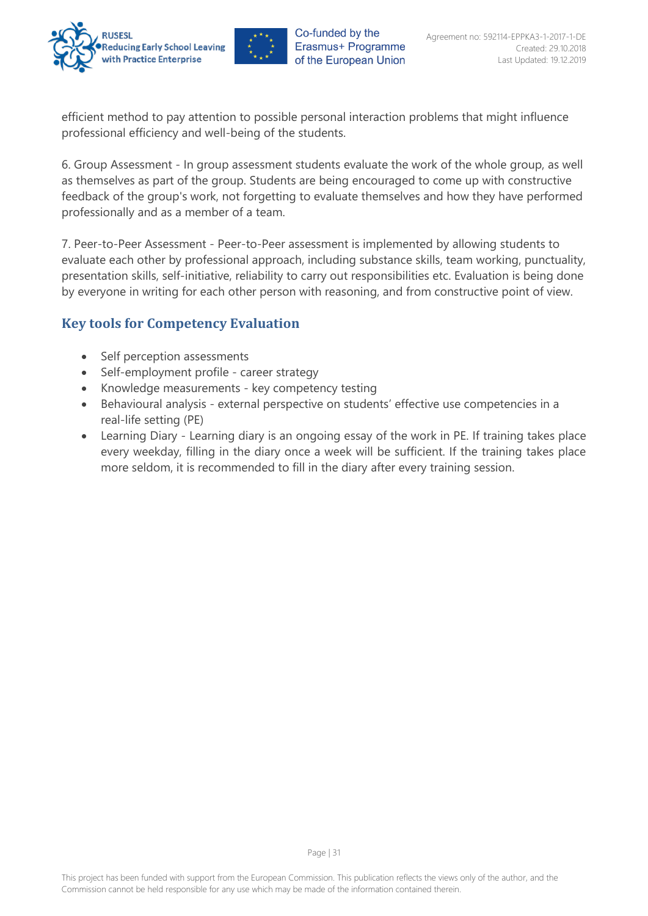



efficient method to pay attention to possible personal interaction problems that might influence professional efficiency and well-being of the students.

6. Group Assessment - In group assessment students evaluate the work of the whole group, as well as themselves as part of the group. Students are being encouraged to come up with constructive feedback of the group's work, not forgetting to evaluate themselves and how they have performed professionally and as a member of a team.

7. Peer-to-Peer Assessment - Peer-to-Peer assessment is implemented by allowing students to evaluate each other by professional approach, including substance skills, team working, punctuality, presentation skills, self-initiative, reliability to carry out responsibilities etc. Evaluation is being done by everyone in writing for each other person with reasoning, and from constructive point of view.

## <span id="page-31-0"></span>**Key tools for Competency Evaluation**

- Self perception assessments
- Self-employment profile career strategy
- Knowledge measurements key competency testing
- Behavioural analysis external perspective on students' effective use competencies in a real-life setting (PE)
- Learning Diary Learning diary is an ongoing essay of the work in PE. If training takes place every weekday, filling in the diary once a week will be sufficient. If the training takes place more seldom, it is recommended to fill in the diary after every training session.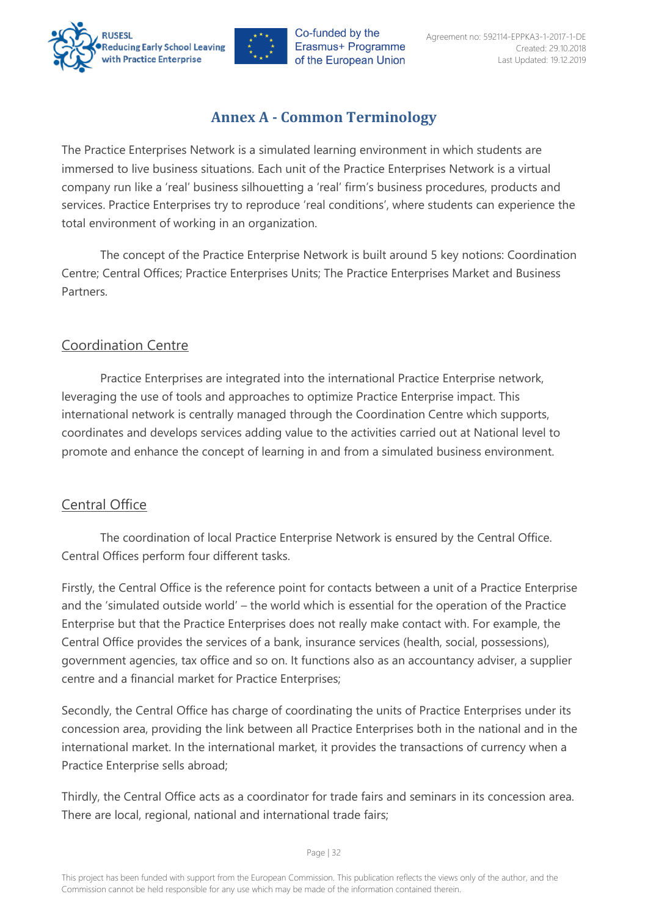



## **Annex A - Common Terminology**

<span id="page-32-0"></span>The Practice Enterprises Network is a simulated learning environment in which students are immersed to live business situations. Each unit of the Practice Enterprises Network is a virtual company run like a 'real' business silhouetting a 'real' firm's business procedures, products and services. Practice Enterprises try to reproduce 'real conditions', where students can experience the total environment of working in an organization.

The concept of the Practice Enterprise Network is built around 5 key notions: Coordination Centre; Central Offices; Practice Enterprises Units; The Practice Enterprises Market and Business Partners.

## <span id="page-32-1"></span>Coordination Centre

Practice Enterprises are integrated into the international Practice Enterprise network, leveraging the use of tools and approaches to optimize Practice Enterprise impact. This international network is centrally managed through the Coordination Centre which supports, coordinates and develops services adding value to the activities carried out at National level to promote and enhance the concept of learning in and from a simulated business environment.

## <span id="page-32-2"></span>Central Office

The coordination of local Practice Enterprise Network is ensured by the Central Office. Central Offices perform four different tasks.

Firstly, the Central Office is the reference point for contacts between a unit of a Practice Enterprise and the 'simulated outside world' – the world which is essential for the operation of the Practice Enterprise but that the Practice Enterprises does not really make contact with. For example, the Central Office provides the services of a bank, insurance services (health, social, possessions), government agencies, tax office and so on. It functions also as an accountancy adviser, a supplier centre and a financial market for Practice Enterprises;

Secondly, the Central Office has charge of coordinating the units of Practice Enterprises under its concession area, providing the link between all Practice Enterprises both in the national and in the international market. In the international market, it provides the transactions of currency when a Practice Enterprise sells abroad;

Thirdly, the Central Office acts as a coordinator for trade fairs and seminars in its concession area. There are local, regional, national and international trade fairs;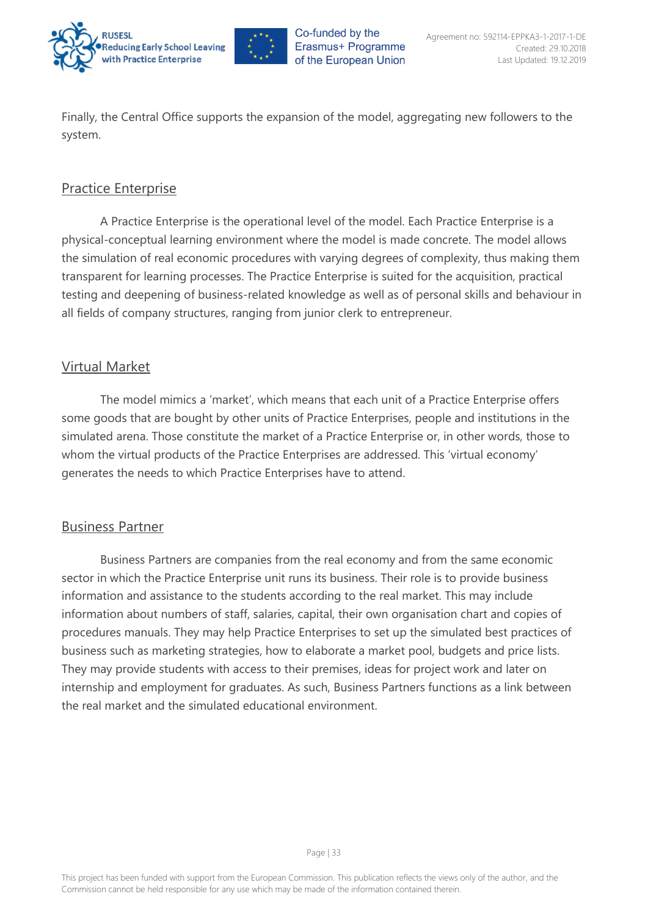



Finally, the Central Office supports the expansion of the model, aggregating new followers to the system.

## <span id="page-33-0"></span>Practice Enterprise

A Practice Enterprise is the operational level of the model. Each Practice Enterprise is a physical-conceptual learning environment where the model is made concrete. The model allows the simulation of real economic procedures with varying degrees of complexity, thus making them transparent for learning processes. The Practice Enterprise is suited for the acquisition, practical testing and deepening of business-related knowledge as well as of personal skills and behaviour in all fields of company structures, ranging from junior clerk to entrepreneur.

## <span id="page-33-1"></span>Virtual Market

The model mimics a 'market', which means that each unit of a Practice Enterprise offers some goods that are bought by other units of Practice Enterprises, people and institutions in the simulated arena. Those constitute the market of a Practice Enterprise or, in other words, those to whom the virtual products of the Practice Enterprises are addressed. This 'virtual economy' generates the needs to which Practice Enterprises have to attend.

#### <span id="page-33-2"></span>Business Partner

Business Partners are companies from the real economy and from the same economic sector in which the Practice Enterprise unit runs its business. Their role is to provide business information and assistance to the students according to the real market. This may include information about numbers of staff, salaries, capital, their own organisation chart and copies of procedures manuals. They may help Practice Enterprises to set up the simulated best practices of business such as marketing strategies, how to elaborate a market pool, budgets and price lists. They may provide students with access to their premises, ideas for project work and later on internship and employment for graduates. As such, Business Partners functions as a link between the real market and the simulated educational environment.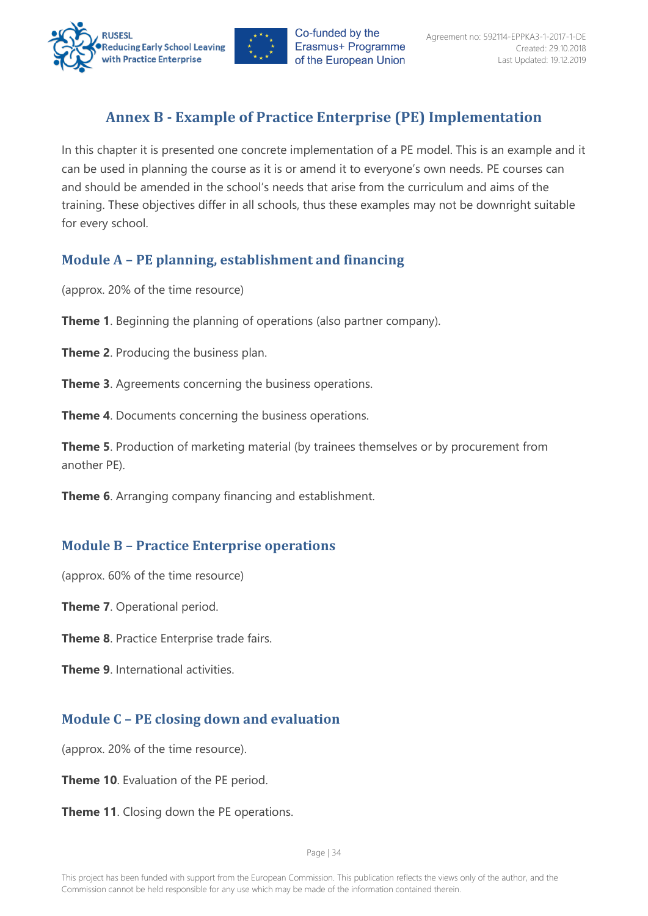



## **Annex B - Example of Practice Enterprise (PE) Implementation**

<span id="page-34-0"></span>In this chapter it is presented one concrete implementation of a PE model. This is an example and it can be used in planning the course as it is or amend it to everyone's own needs. PE courses can and should be amended in the school's needs that arise from the curriculum and aims of the training. These objectives differ in all schools, thus these examples may not be downright suitable for every school.

## <span id="page-34-1"></span>**Module A – PE planning, establishment and financing**

(approx. 20% of the time resource)

**Theme 1**. Beginning the planning of operations (also partner company).

**Theme 2**. Producing the business plan.

**Theme 3**. Agreements concerning the business operations.

**Theme 4**. Documents concerning the business operations.

**Theme 5**. Production of marketing material (by trainees themselves or by procurement from another PE).

**Theme 6**. Arranging company financing and establishment.

## <span id="page-34-2"></span>**Module B – Practice Enterprise operations**

(approx. 60% of the time resource)

**Theme 7**. Operational period.

**Theme 8**. Practice Enterprise trade fairs.

**Theme 9**. International activities

## <span id="page-34-3"></span>**Module C – PE closing down and evaluation**

(approx. 20% of the time resource).

**Theme 10**. Evaluation of the PE period.

**Theme 11**. Closing down the PE operations.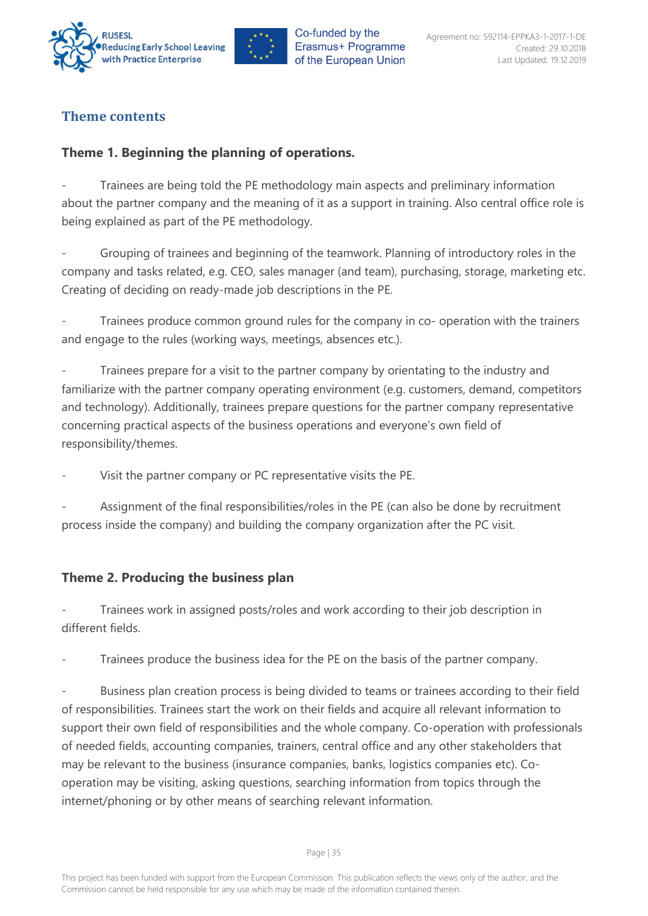



## <span id="page-35-0"></span>**Theme contents**

## <span id="page-35-1"></span>**Theme 1. Beginning the planning of operations.**

Trainees are being told the PE methodology main aspects and preliminary information about the partner company and the meaning of it as a support in training. Also central office role is being explained as part of the PE methodology.

- Grouping of trainees and beginning of the teamwork. Planning of introductory roles in the company and tasks related, e.g. CEO, sales manager (and team), purchasing, storage, marketing etc. Creating of deciding on ready-made job descriptions in the PE.

Trainees produce common ground rules for the company in co- operation with the trainers and engage to the rules (working ways, meetings, absences etc.).

Trainees prepare for a visit to the partner company by orientating to the industry and familiarize with the partner company operating environment (e.g. customers, demand, competitors and technology). Additionally, trainees prepare questions for the partner company representative concerning practical aspects of the business operations and everyone's own field of responsibility/themes.

Visit the partner company or PC representative visits the PE.

- Assignment of the final responsibilities/roles in the PE (can also be done by recruitment process inside the company) and building the company organization after the PC visit.

## <span id="page-35-2"></span>**Theme 2. Producing the business plan**

Trainees work in assigned posts/roles and work according to their job description in different fields.

Trainees produce the business idea for the PE on the basis of the partner company.

Business plan creation process is being divided to teams or trainees according to their field of responsibilities. Trainees start the work on their fields and acquire all relevant information to support their own field of responsibilities and the whole company. Co-operation with professionals of needed fields, accounting companies, trainers, central office and any other stakeholders that may be relevant to the business (insurance companies, banks, logistics companies etc). Cooperation may be visiting, asking questions, searching information from topics through the internet/phoning or by other means of searching relevant information.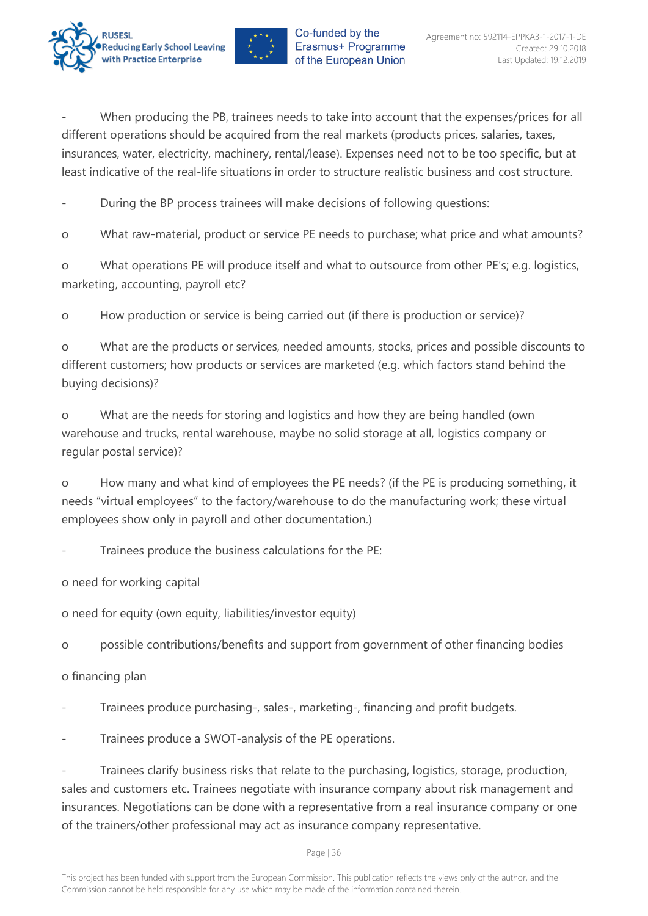



When producing the PB, trainees needs to take into account that the expenses/prices for all different operations should be acquired from the real markets (products prices, salaries, taxes, insurances, water, electricity, machinery, rental/lease). Expenses need not to be too specific, but at least indicative of the real-life situations in order to structure realistic business and cost structure.

During the BP process trainees will make decisions of following questions:

o What raw-material, product or service PE needs to purchase; what price and what amounts?

o What operations PE will produce itself and what to outsource from other PE's; e.g. logistics, marketing, accounting, payroll etc?

o How production or service is being carried out (if there is production or service)?

o What are the products or services, needed amounts, stocks, prices and possible discounts to different customers; how products or services are marketed (e.g. which factors stand behind the buying decisions)?

o What are the needs for storing and logistics and how they are being handled (own warehouse and trucks, rental warehouse, maybe no solid storage at all, logistics company or regular postal service)?

o How many and what kind of employees the PE needs? (if the PE is producing something, it needs "virtual employees" to the factory/warehouse to do the manufacturing work; these virtual employees show only in payroll and other documentation.)

Trainees produce the business calculations for the PE:

o need for working capital

o need for equity (own equity, liabilities/investor equity)

o possible contributions/benefits and support from government of other financing bodies

o financing plan

Trainees produce purchasing-, sales-, marketing-, financing and profit budgets.

Trainees produce a SWOT-analysis of the PE operations.

Trainees clarify business risks that relate to the purchasing, logistics, storage, production, sales and customers etc. Trainees negotiate with insurance company about risk management and insurances. Negotiations can be done with a representative from a real insurance company or one of the trainers/other professional may act as insurance company representative.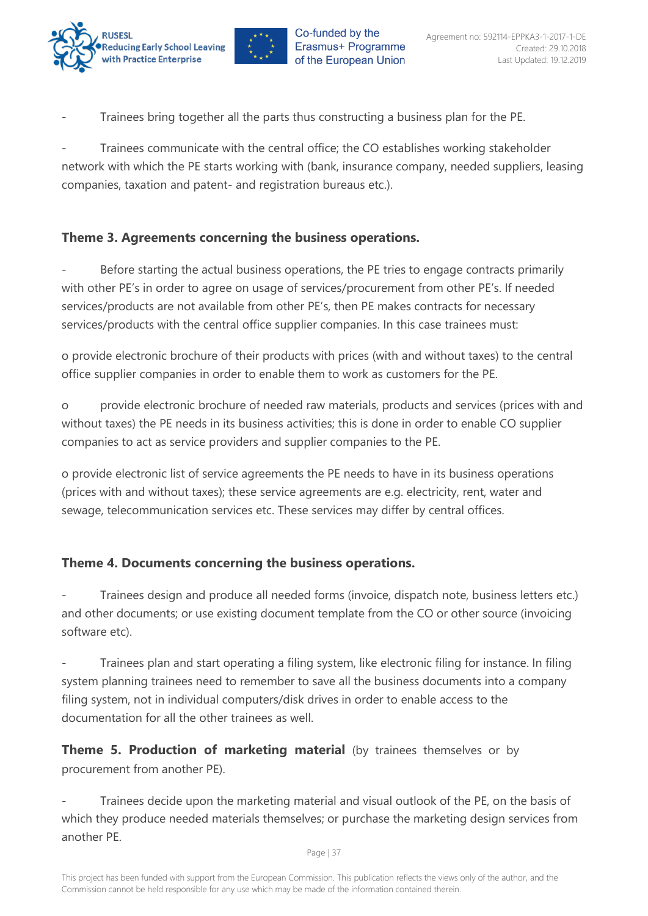



Trainees bring together all the parts thus constructing a business plan for the PE.

Trainees communicate with the central office; the CO establishes working stakeholder network with which the PE starts working with (bank, insurance company, needed suppliers, leasing companies, taxation and patent- and registration bureaus etc.).

## <span id="page-37-0"></span>**Theme 3. Agreements concerning the business operations.**

Before starting the actual business operations, the PE tries to engage contracts primarily with other PE's in order to agree on usage of services/procurement from other PE's. If needed services/products are not available from other PE's, then PE makes contracts for necessary services/products with the central office supplier companies. In this case trainees must:

o provide electronic brochure of their products with prices (with and without taxes) to the central office supplier companies in order to enable them to work as customers for the PE.

o provide electronic brochure of needed raw materials, products and services (prices with and without taxes) the PE needs in its business activities; this is done in order to enable CO supplier companies to act as service providers and supplier companies to the PE.

o provide electronic list of service agreements the PE needs to have in its business operations (prices with and without taxes); these service agreements are e.g. electricity, rent, water and sewage, telecommunication services etc. These services may differ by central offices.

## <span id="page-37-1"></span>**Theme 4. Documents concerning the business operations.**

Trainees design and produce all needed forms (invoice, dispatch note, business letters etc.) and other documents; or use existing document template from the CO or other source (invoicing software etc).

Trainees plan and start operating a filing system, like electronic filing for instance. In filing system planning trainees need to remember to save all the business documents into a company filing system, not in individual computers/disk drives in order to enable access to the documentation for all the other trainees as well.

**Theme 5. Production of marketing material** (by trainees themselves or by procurement from another PE).

Trainees decide upon the marketing material and visual outlook of the PE, on the basis of which they produce needed materials themselves; or purchase the marketing design services from another PE.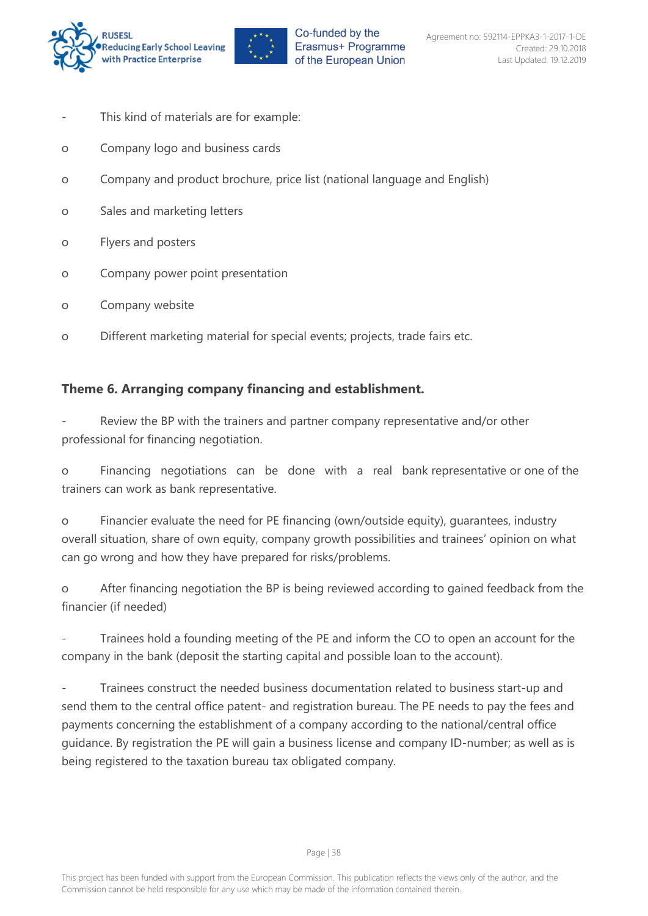

- This kind of materials are for example:
- o Company logo and business cards
- o Company and product brochure, price list (national language and English)
- o Sales and marketing letters
- o Flyers and posters
- o Company power point presentation
- o Company website
- o Different marketing material for special events; projects, trade fairs etc.

#### <span id="page-38-0"></span>**Theme 6. Arranging company financing and establishment.**

Review the BP with the trainers and partner company representative and/or other professional for financing negotiation.

o Financing negotiations can be done with a real bank representative or one of the trainers can work as bank representative.

o Financier evaluate the need for PE financing (own/outside equity), guarantees, industry overall situation, share of own equity, company growth possibilities and trainees' opinion on what can go wrong and how they have prepared for risks/problems.

o After financing negotiation the BP is being reviewed according to gained feedback from the financier (if needed)

Trainees hold a founding meeting of the PE and inform the CO to open an account for the company in the bank (deposit the starting capital and possible loan to the account).

- Trainees construct the needed business documentation related to business start-up and send them to the central office patent- and registration bureau. The PE needs to pay the fees and payments concerning the establishment of a company according to the national/central office guidance. By registration the PE will gain a business license and company ID-number; as well as is being registered to the taxation bureau tax obligated company.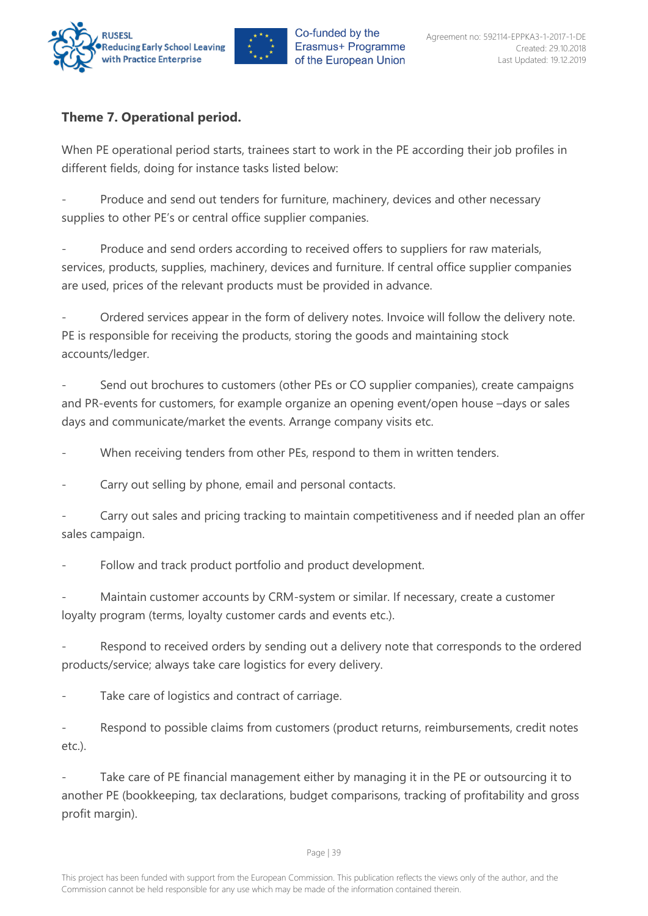

## <span id="page-39-0"></span>**Theme 7. Operational period.**

When PE operational period starts, trainees start to work in the PE according their job profiles in different fields, doing for instance tasks listed below:

Produce and send out tenders for furniture, machinery, devices and other necessary supplies to other PE's or central office supplier companies.

Produce and send orders according to received offers to suppliers for raw materials, services, products, supplies, machinery, devices and furniture. If central office supplier companies are used, prices of the relevant products must be provided in advance.

- Ordered services appear in the form of delivery notes. Invoice will follow the delivery note. PE is responsible for receiving the products, storing the goods and maintaining stock accounts/ledger.

Send out brochures to customers (other PEs or CO supplier companies), create campaigns and PR-events for customers, for example organize an opening event/open house –days or sales days and communicate/market the events. Arrange company visits etc.

When receiving tenders from other PEs, respond to them in written tenders.

Carry out selling by phone, email and personal contacts.

Carry out sales and pricing tracking to maintain competitiveness and if needed plan an offer sales campaign.

Follow and track product portfolio and product development.

Maintain customer accounts by CRM-system or similar. If necessary, create a customer loyalty program (terms, loyalty customer cards and events etc.).

Respond to received orders by sending out a delivery note that corresponds to the ordered products/service; always take care logistics for every delivery.

Take care of logistics and contract of carriage.

Respond to possible claims from customers (product returns, reimbursements, credit notes etc.).

Take care of PE financial management either by managing it in the PE or outsourcing it to another PE (bookkeeping, tax declarations, budget comparisons, tracking of profitability and gross profit margin).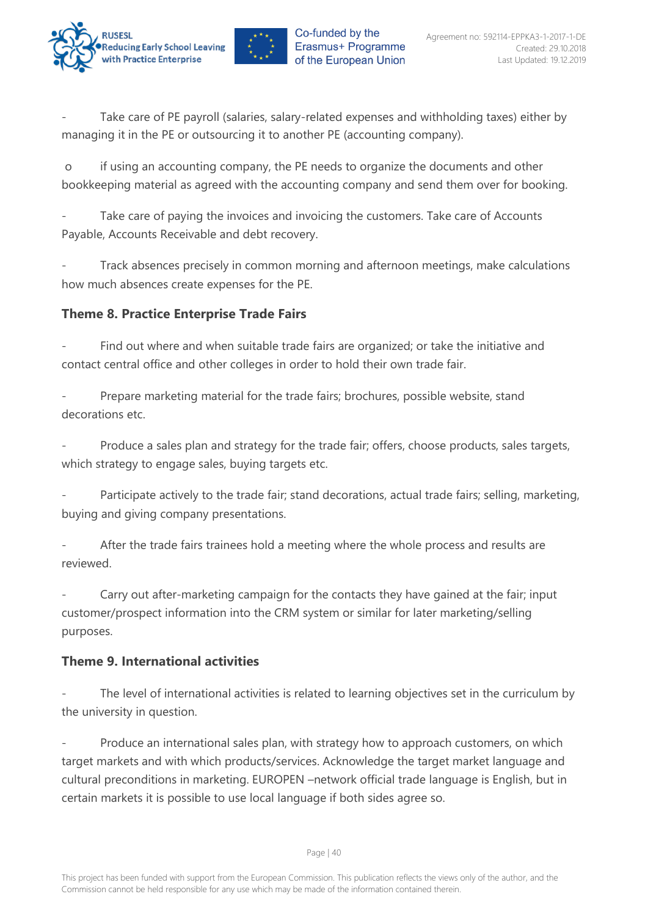



Take care of PE payroll (salaries, salary-related expenses and withholding taxes) either by managing it in the PE or outsourcing it to another PE (accounting company).

o if using an accounting company, the PE needs to organize the documents and other bookkeeping material as agreed with the accounting company and send them over for booking.

Take care of paying the invoices and invoicing the customers. Take care of Accounts Payable, Accounts Receivable and debt recovery.

Track absences precisely in common morning and afternoon meetings, make calculations how much absences create expenses for the PE.

## <span id="page-40-0"></span>**Theme 8. Practice Enterprise Trade Fairs**

Find out where and when suitable trade fairs are organized; or take the initiative and contact central office and other colleges in order to hold their own trade fair.

Prepare marketing material for the trade fairs; brochures, possible website, stand decorations etc.

Produce a sales plan and strategy for the trade fair; offers, choose products, sales targets, which strategy to engage sales, buying targets etc.

Participate actively to the trade fair; stand decorations, actual trade fairs; selling, marketing, buying and giving company presentations.

After the trade fairs trainees hold a meeting where the whole process and results are reviewed.

Carry out after-marketing campaign for the contacts they have gained at the fair; input customer/prospect information into the CRM system or similar for later marketing/selling purposes.

## <span id="page-40-1"></span>**Theme 9. International activities**

The level of international activities is related to learning objectives set in the curriculum by the university in question.

Produce an international sales plan, with strategy how to approach customers, on which target markets and with which products/services. Acknowledge the target market language and cultural preconditions in marketing. EUROPEN –network official trade language is English, but in certain markets it is possible to use local language if both sides agree so.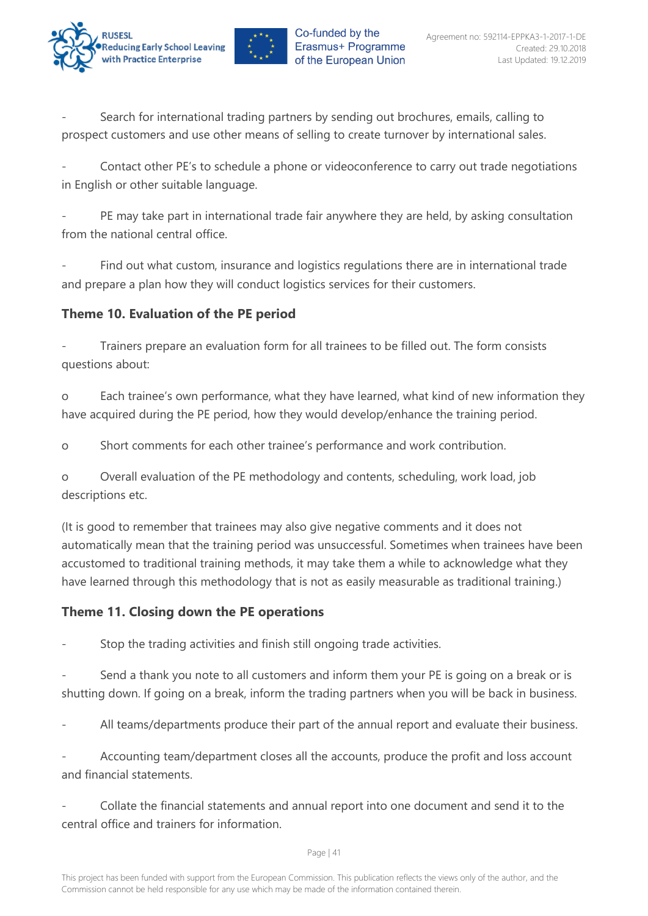



Search for international trading partners by sending out brochures, emails, calling to prospect customers and use other means of selling to create turnover by international sales.

Contact other PE's to schedule a phone or videoconference to carry out trade negotiations in English or other suitable language.

PE may take part in international trade fair anywhere they are held, by asking consultation from the national central office.

Find out what custom, insurance and logistics regulations there are in international trade and prepare a plan how they will conduct logistics services for their customers.

## <span id="page-41-0"></span>**Theme 10. Evaluation of the PE period**

Trainers prepare an evaluation form for all trainees to be filled out. The form consists questions about:

o Each trainee's own performance, what they have learned, what kind of new information they have acquired during the PE period, how they would develop/enhance the training period.

o Short comments for each other trainee's performance and work contribution.

o Overall evaluation of the PE methodology and contents, scheduling, work load, job descriptions etc.

(It is good to remember that trainees may also give negative comments and it does not automatically mean that the training period was unsuccessful. Sometimes when trainees have been accustomed to traditional training methods, it may take them a while to acknowledge what they have learned through this methodology that is not as easily measurable as traditional training.)

## <span id="page-41-1"></span>**Theme 11. Closing down the PE operations**

Stop the trading activities and finish still ongoing trade activities.

Send a thank you note to all customers and inform them your PE is going on a break or is shutting down. If going on a break, inform the trading partners when you will be back in business.

All teams/departments produce their part of the annual report and evaluate their business.

Accounting team/department closes all the accounts, produce the profit and loss account and financial statements.

- Collate the financial statements and annual report into one document and send it to the central office and trainers for information.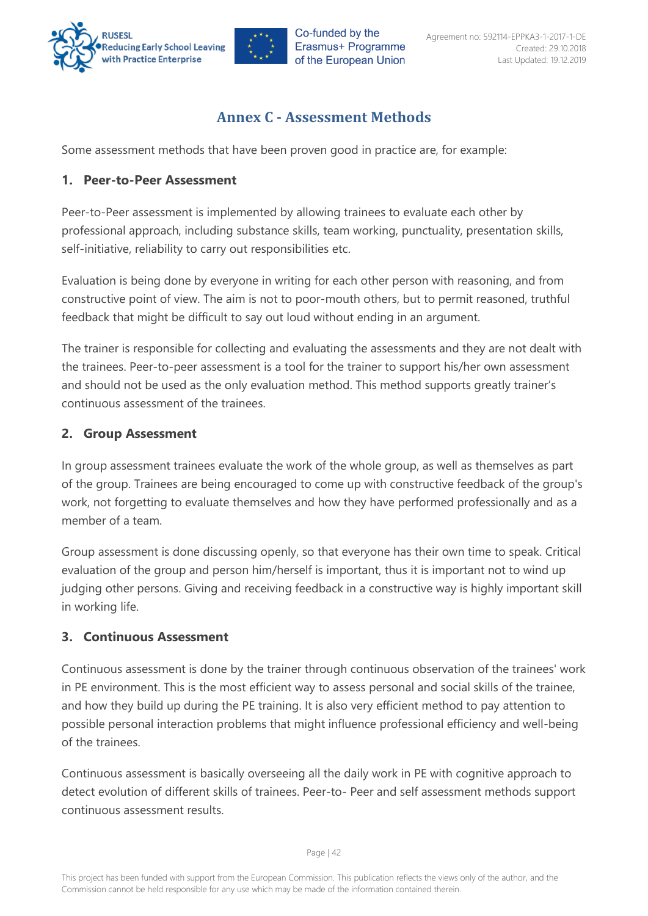



## **Annex C - Assessment Methods**

<span id="page-42-0"></span>Some assessment methods that have been proven good in practice are, for example:

#### <span id="page-42-1"></span>**1. Peer-to-Peer Assessment**

Peer-to-Peer assessment is implemented by allowing trainees to evaluate each other by professional approach, including substance skills, team working, punctuality, presentation skills, self-initiative, reliability to carry out responsibilities etc.

Evaluation is being done by everyone in writing for each other person with reasoning, and from constructive point of view. The aim is not to poor-mouth others, but to permit reasoned, truthful feedback that might be difficult to say out loud without ending in an argument.

The trainer is responsible for collecting and evaluating the assessments and they are not dealt with the trainees. Peer-to-peer assessment is a tool for the trainer to support his/her own assessment and should not be used as the only evaluation method. This method supports greatly trainer's continuous assessment of the trainees.

#### <span id="page-42-2"></span>**2. Group Assessment**

In group assessment trainees evaluate the work of the whole group, as well as themselves as part of the group. Trainees are being encouraged to come up with constructive feedback of the group's work, not forgetting to evaluate themselves and how they have performed professionally and as a member of a team.

Group assessment is done discussing openly, so that everyone has their own time to speak. Critical evaluation of the group and person him/herself is important, thus it is important not to wind up judging other persons. Giving and receiving feedback in a constructive way is highly important skill in working life.

## <span id="page-42-3"></span>**3. Continuous Assessment**

Continuous assessment is done by the trainer through continuous observation of the trainees' work in PE environment. This is the most efficient way to assess personal and social skills of the trainee, and how they build up during the PE training. It is also very efficient method to pay attention to possible personal interaction problems that might influence professional efficiency and well-being of the trainees.

Continuous assessment is basically overseeing all the daily work in PE with cognitive approach to detect evolution of different skills of trainees. Peer-to- Peer and self assessment methods support continuous assessment results.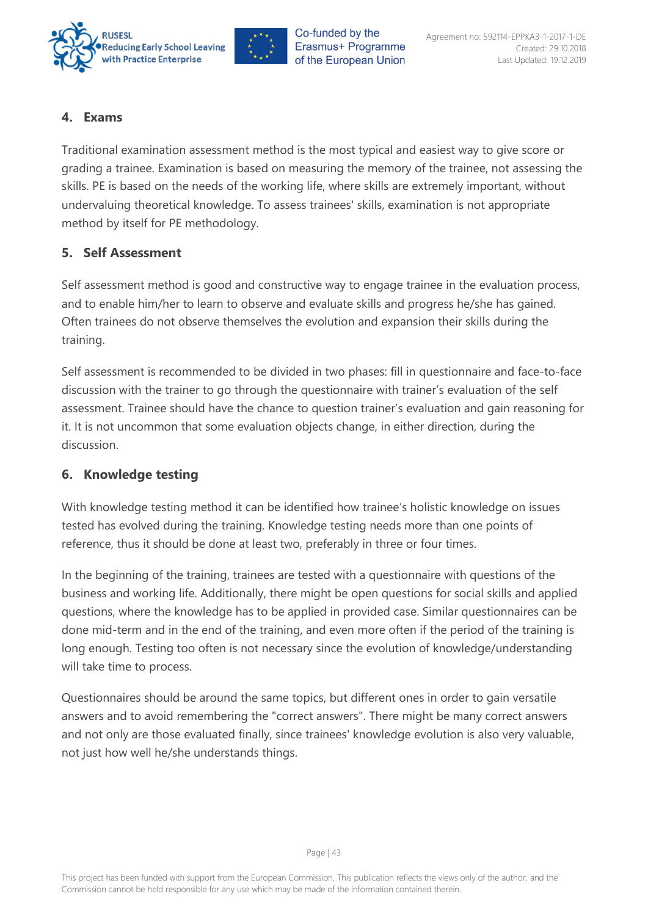



#### <span id="page-43-0"></span>**4. Exams**

Traditional examination assessment method is the most typical and easiest way to give score or grading a trainee. Examination is based on measuring the memory of the trainee, not assessing the skills. PE is based on the needs of the working life, where skills are extremely important, without undervaluing theoretical knowledge. To assess trainees' skills, examination is not appropriate method by itself for PE methodology.

#### <span id="page-43-1"></span>**5. Self Assessment**

Self assessment method is good and constructive way to engage trainee in the evaluation process, and to enable him/her to learn to observe and evaluate skills and progress he/she has gained. Often trainees do not observe themselves the evolution and expansion their skills during the training.

Self assessment is recommended to be divided in two phases: fill in questionnaire and face-to-face discussion with the trainer to go through the questionnaire with trainer's evaluation of the self assessment. Trainee should have the chance to question trainer's evaluation and gain reasoning for it. It is not uncommon that some evaluation objects change, in either direction, during the discussion.

#### <span id="page-43-2"></span>**6. Knowledge testing**

With knowledge testing method it can be identified how trainee's holistic knowledge on issues tested has evolved during the training. Knowledge testing needs more than one points of reference, thus it should be done at least two, preferably in three or four times.

In the beginning of the training, trainees are tested with a questionnaire with questions of the business and working life. Additionally, there might be open questions for social skills and applied questions, where the knowledge has to be applied in provided case. Similar questionnaires can be done mid-term and in the end of the training, and even more often if the period of the training is long enough. Testing too often is not necessary since the evolution of knowledge/understanding will take time to process.

Questionnaires should be around the same topics, but different ones in order to gain versatile answers and to avoid remembering the "correct answers". There might be many correct answers and not only are those evaluated finally, since trainees' knowledge evolution is also very valuable, not just how well he/she understands things.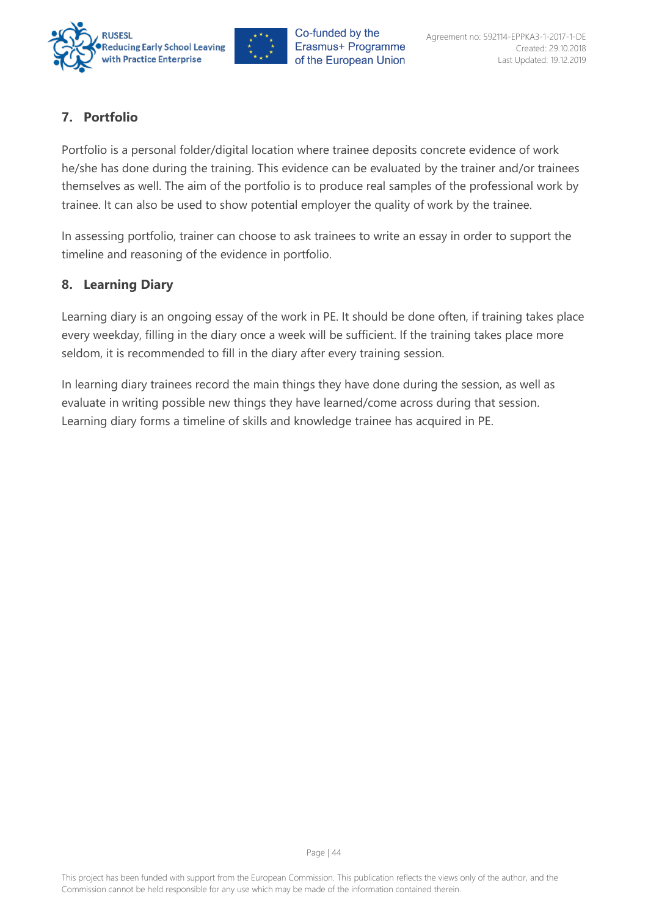



## <span id="page-44-0"></span>**7. Portfolio**

Portfolio is a personal folder/digital location where trainee deposits concrete evidence of work he/she has done during the training. This evidence can be evaluated by the trainer and/or trainees themselves as well. The aim of the portfolio is to produce real samples of the professional work by trainee. It can also be used to show potential employer the quality of work by the trainee.

In assessing portfolio, trainer can choose to ask trainees to write an essay in order to support the timeline and reasoning of the evidence in portfolio.

## <span id="page-44-1"></span>**8. Learning Diary**

Learning diary is an ongoing essay of the work in PE. It should be done often, if training takes place every weekday, filling in the diary once a week will be sufficient. If the training takes place more seldom, it is recommended to fill in the diary after every training session.

In learning diary trainees record the main things they have done during the session, as well as evaluate in writing possible new things they have learned/come across during that session. Learning diary forms a timeline of skills and knowledge trainee has acquired in PE.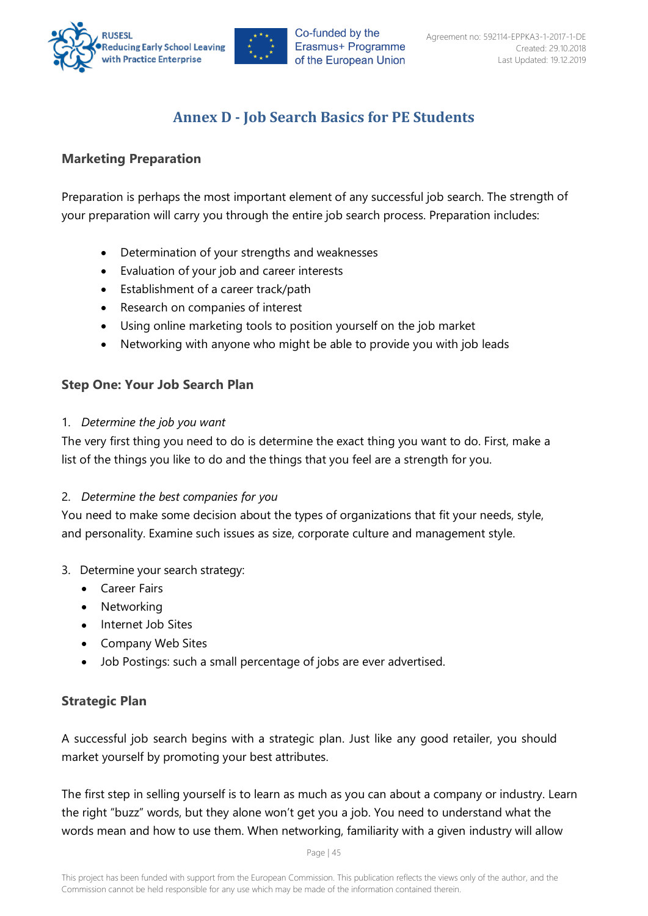

## **Annex D - Job Search Basics for PE Students**

#### <span id="page-45-1"></span><span id="page-45-0"></span>**Marketing Preparation**

Preparation is perhaps the most important element of any successful job search. The strength of your preparation will carry you through the entire job search process. Preparation includes:

- Determination of your strengths and weaknesses
- Evaluation of your job and career interests
- Establishment of a career track/path
- Research on companies of interest
- Using online marketing tools to position yourself on the job market
- Networking with anyone who might be able to provide you with job leads

#### <span id="page-45-2"></span>**Step One: Your Job Search Plan**

#### 1. *Determine the job you want*

The very first thing you need to do is determine the exact thing you want to do. First, make a list of the things you like to do and the things that you feel are a strength for you.

#### 2. *Determine the best companies for you*

You need to make some decision about the types of organizations that fit your needs, style, and personality. Examine such issues as size, corporate culture and management style.

- 3. Determine your search strategy:
	- Career Fairs
	- Networking
	- Internet Job Sites
	- Company Web Sites
	- Job Postings: such a small percentage of jobs are ever advertised.

## <span id="page-45-3"></span>**Strategic Plan**

A successful job search begins with a strategic plan. Just like any good retailer, you should market yourself by promoting your best attributes.

The first step in selling yourself is to learn as much as you can about a company or industry. Learn the right "buzz" words, but they alone won't get you a job. You need to understand what the words mean and how to use them. When networking, familiarity with a given industry will allow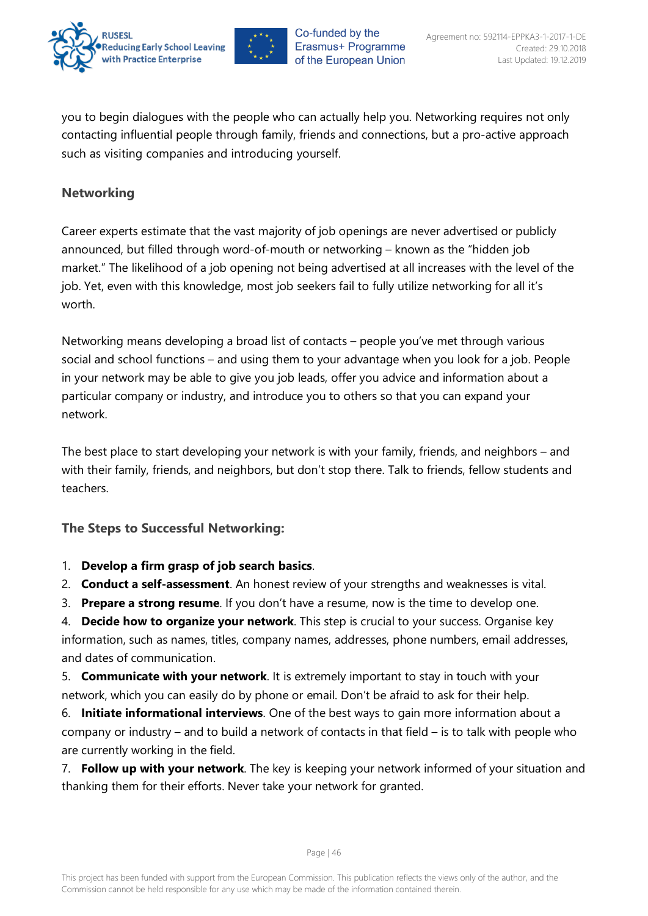



you to begin dialogues with the people who can actually help you. Networking requires not only contacting influential people through family, friends and connections, but a pro-active approach such as visiting companies and introducing yourself.

#### <span id="page-46-0"></span>**Networking**

Career experts estimate that the vast majority of job openings are never advertised or publicly announced, but filled through word-of-mouth or networking – known as the "hidden job market." The likelihood of a job opening not being advertised at all increases with the level of the job. Yet, even with this knowledge, most job seekers fail to fully utilize networking for all it's worth.

Networking means developing a broad list of contacts – people you've met through various social and school functions – and using them to your advantage when you look for a job. People in your network may be able to give you job leads, offer you advice and information about a particular company or industry, and introduce you to others so that you can expand your network.

The best place to start developing your network is with your family, friends, and neighbors – and with their family, friends, and neighbors, but don't stop there. Talk to friends, fellow students and teachers.

## <span id="page-46-1"></span>**The Steps to Successful Networking:**

- 1. **Develop a firm grasp of job search basics**.
- 2. **Conduct a self-assessment**. An honest review of your strengths and weaknesses is vital.
- 3. **Prepare a strong resume**. If you don't have a resume, now is the time to develop one.

4. **Decide how to organize your network**. This step is crucial to your success. Organise key information, such as names, titles, company names, addresses, phone numbers, email addresses, and dates of communication.

5. **Communicate with your network**. It is extremely important to stay in touch with your network, which you can easily do by phone or email. Don't be afraid to ask for their help.

6. **Initiate informational interviews**. One of the best ways to gain more information about a company or industry – and to build a network of contacts in that field – is to talk with people who are currently working in the field.

7. **Follow up with your network**. The key is keeping your network informed of your situation and thanking them for their efforts. Never take your network for granted.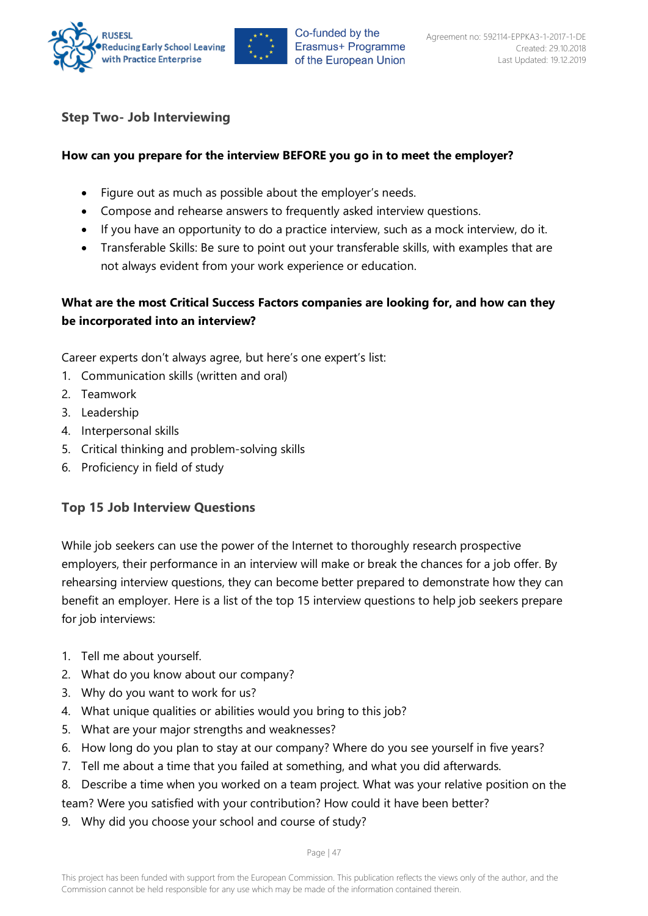



#### <span id="page-47-0"></span>**Step Two- Job Interviewing**

#### **How can you prepare for the interview BEFORE you go in to meet the employer?**

- Figure out as much as possible about the employer's needs.
- Compose and rehearse answers to frequently asked interview questions.
- If you have an opportunity to do a practice interview, such as a mock interview, do it.
- Transferable Skills: Be sure to point out your transferable skills, with examples that are not always evident from your work experience or education.

#### **What are the most Critical Success Factors companies are looking for, and how can they be incorporated into an interview?**

Career experts don't always agree, but here's one expert's list:

- 1. Communication skills (written and oral)
- 2. Teamwork
- 3. Leadership
- 4. Interpersonal skills
- 5. Critical thinking and problem-solving skills
- 6. Proficiency in field of study

#### <span id="page-47-1"></span>**Top 15 Job Interview Questions**

While job seekers can use the power of the Internet to thoroughly research prospective employers, their performance in an interview will make or break the chances for a job offer. By rehearsing interview questions, they can become better prepared to demonstrate how they can benefit an employer. Here is a list of the top 15 interview questions to help job seekers prepare for job interviews:

- 1. Tell me about yourself.
- 2. What do you know about our company?
- 3. Why do you want to work for us?
- 4. What unique qualities or abilities would you bring to this job?
- 5. What are your major strengths and weaknesses?
- 6. How long do you plan to stay at our company? Where do you see yourself in five years?
- 7. Tell me about a time that you failed at something, and what you did afterwards.
- 8. Describe a time when you worked on a team project. What was your relative position on the team? Were you satisfied with your contribution? How could it have been better?
- 
- 9. Why did you choose your school and course of study?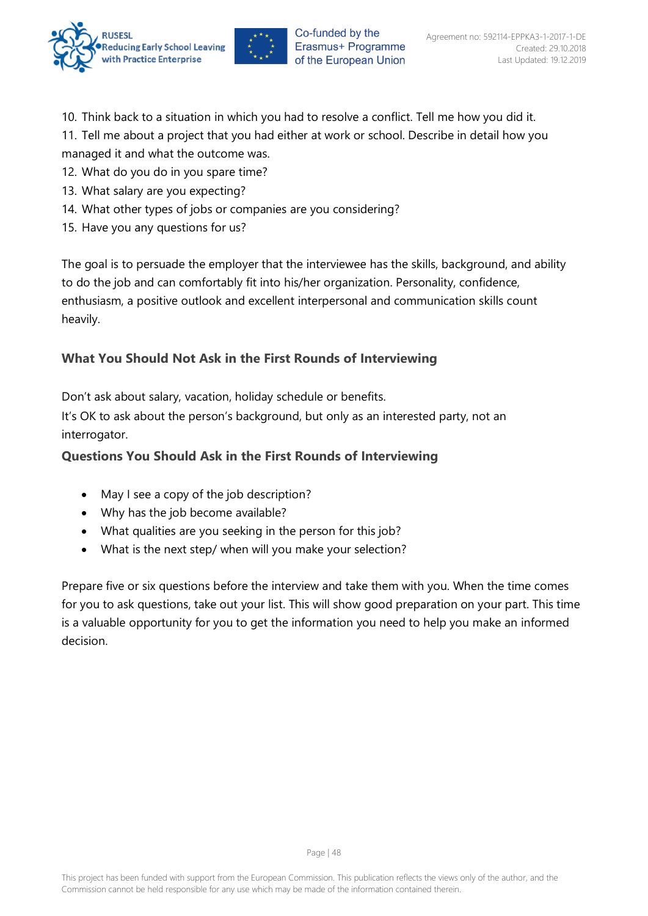



- 10. Think back to a situation in which you had to resolve a conflict. Tell me how you did it.
- 11. Tell me about a project that you had either at work or school. Describe in detail how you managed it and what the outcome was.
- 12. What do you do in you spare time?
- 13. What salary are you expecting?
- 14. What other types of jobs or companies are you considering?
- 15. Have you any questions for us?

The goal is to persuade the employer that the interviewee has the skills, background, and ability to do the job and can comfortably fit into his/her organization. Personality, confidence, enthusiasm, a positive outlook and excellent interpersonal and communication skills count heavily.

## <span id="page-48-0"></span>**What You Should Not Ask in the First Rounds of Interviewing**

Don't ask about salary, vacation, holiday schedule or benefits.

It's OK to ask about the person's background, but only as an interested party, not an interrogator.

## <span id="page-48-1"></span>**Questions You Should Ask in the First Rounds of Interviewing**

- May I see a copy of the job description?
- Why has the job become available?
- What qualities are you seeking in the person for this job?
- What is the next step/ when will you make your selection?

Prepare five or six questions before the interview and take them with you. When the time comes for you to ask questions, take out your list. This will show good preparation on your part. This time is a valuable opportunity for you to get the information you need to help you make an informed decision.